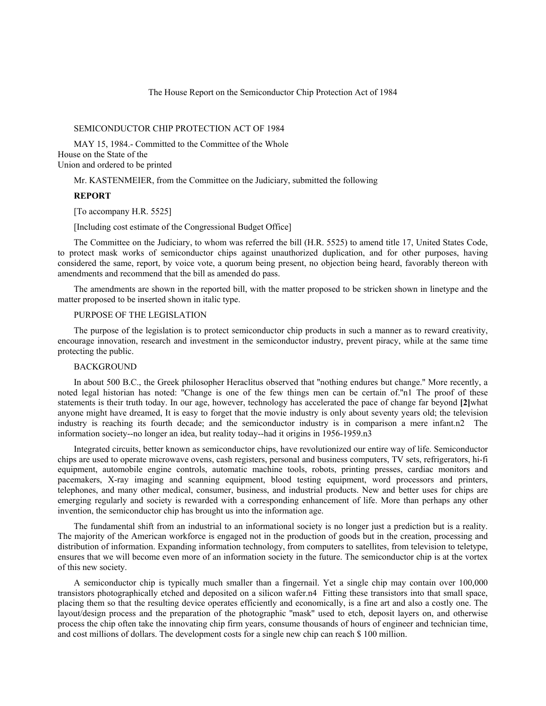The House Report on the Semiconductor Chip Protection Act of 1984

# SEMICONDUCTOR CHIP PROTECTION ACT OF 1984

MAY 15, 1984.- Committed to the Committee of the Whole House on the State of the Union and ordered to be printed

Mr. KASTENMEIER, from the Committee on the Judiciary, submitted the following

## **REPORT**

[To accompany H.R. 5525]

[Including cost estimate of the Congressional Budget Office]

The Committee on the Judiciary, to whom was referred the bill (H.R. 5525) to amend title 17, United States Code, to protect mask works of semiconductor chips against unauthorized duplication, and for other purposes, having considered the same, report, by voice vote, a quorum being present, no objection being heard, favorably thereon with amendments and recommend that the bill as amended do pass.

The amendments are shown in the reported bill, with the matter proposed to be stricken shown in linetype and the matter proposed to be inserted shown in italic type.

# PURPOSE OF THE LEGISLATION

The purpose of the legislation is to protect semiconductor chip products in such a manner as to reward creativity, encourage innovation, research and investment in the semiconductor industry, prevent piracy, while at the same time protecting the public.

## BACKGROUND

In about 500 B.C., the Greek philosopher Heraclitus observed that ''nothing endures but change.'' More recently, a noted legal historian has noted: ''Change is one of the few things men can be certain of.''n1 The proof of these statements is their truth today. In our age, however, technology has accelerated the pace of change far beyond **[2]**what anyone might have dreamed, It is easy to forget that the movie industry is only about seventy years old; the television industry is reaching its fourth decade; and the semiconductor industry is in comparison a mere infant.n2 The information society--no longer an idea, but reality today--had it origins in 1956-1959.n3

Integrated circuits, better known as semiconductor chips, have revolutionized our entire way of life. Semiconductor chips are used to operate microwave ovens, cash registers, personal and business computers, TV sets, refrigerators, hi-fi equipment, automobile engine controls, automatic machine tools, robots, printing presses, cardiac monitors and pacemakers, X-ray imaging and scanning equipment, blood testing equipment, word processors and printers, telephones, and many other medical, consumer, business, and industrial products. New and better uses for chips are emerging regularly and society is rewarded with a corresponding enhancement of life. More than perhaps any other invention, the semiconductor chip has brought us into the information age.

The fundamental shift from an industrial to an informational society is no longer just a prediction but is a reality. The majority of the American workforce is engaged not in the production of goods but in the creation, processing and distribution of information. Expanding information technology, from computers to satellites, from television to teletype, ensures that we will become even more of an information society in the future. The semiconductor chip is at the vortex of this new society.

A semiconductor chip is typically much smaller than a fingernail. Yet a single chip may contain over 100,000 transistors photographically etched and deposited on a silicon wafer.n4 Fitting these transistors into that small space, placing them so that the resulting device operates efficiently and economically, is a fine art and also a costly one. The layout/design process and the preparation of the photographic ''mask'' used to etch, deposit layers on, and otherwise process the chip often take the innovating chip firm years, consume thousands of hours of engineer and technician time, and cost millions of dollars. The development costs for a single new chip can reach \$ 100 million.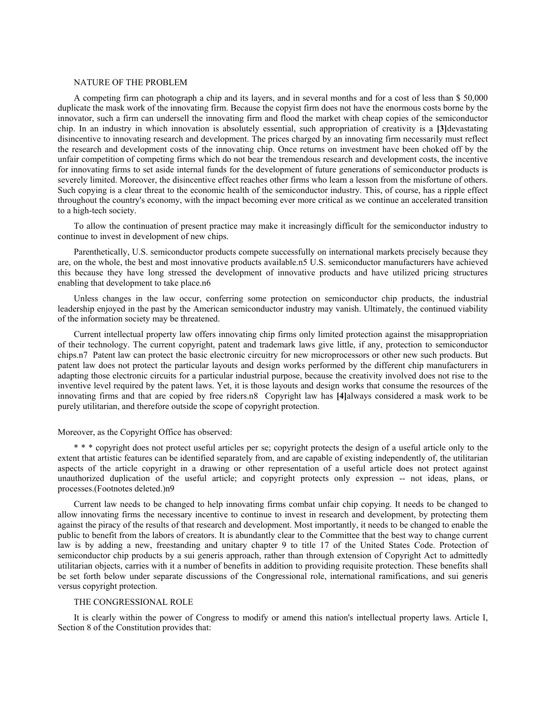#### NATURE OF THE PROBLEM

A competing firm can photograph a chip and its layers, and in several months and for a cost of less than \$ 50,000 duplicate the mask work of the innovating firm. Because the copyist firm does not have the enormous costs borne by the innovator, such a firm can undersell the innovating firm and flood the market with cheap copies of the semiconductor chip. In an industry in which innovation is absolutely essential, such appropriation of creativity is a **[3]**devastating disincentive to innovating research and development. The prices charged by an innovating firm necessarily must reflect the research and development costs of the innovating chip. Once returns on investment have been choked off by the unfair competition of competing firms which do not bear the tremendous research and development costs, the incentive for innovating firms to set aside internal funds for the development of future generations of semiconductor products is severely limited. Moreover, the disincentive effect reaches other firms who learn a lesson from the misfortune of others. Such copying is a clear threat to the economic health of the semiconductor industry. This, of course, has a ripple effect throughout the country's economy, with the impact becoming ever more critical as we continue an accelerated transition to a high-tech society.

To allow the continuation of present practice may make it increasingly difficult for the semiconductor industry to continue to invest in development of new chips.

Parenthetically, U.S. semiconductor products compete successfully on international markets precisely because they are, on the whole, the best and most innovative products available.n5 U.S. semiconductor manufacturers have achieved this because they have long stressed the development of innovative products and have utilized pricing structures enabling that development to take place.n6

Unless changes in the law occur, conferring some protection on semiconductor chip products, the industrial leadership enjoyed in the past by the American semiconductor industry may vanish. Ultimately, the continued viability of the information society may be threatened.

Current intellectual property law offers innovating chip firms only limited protection against the misappropriation of their technology. The current copyright, patent and trademark laws give little, if any, protection to semiconductor chips.n7 Patent law can protect the basic electronic circuitry for new microprocessors or other new such products. But patent law does not protect the particular layouts and design works performed by the different chip manufacturers in adapting those electronic circuits for a particular industrial purpose, because the creativity involved does not rise to the inventive level required by the patent laws. Yet, it is those layouts and design works that consume the resources of the innovating firms and that are copied by free riders.n8 Copyright law has **[4]**always considered a mask work to be purely utilitarian, and therefore outside the scope of copyright protection.

### Moreover, as the Copyright Office has observed:

\* \* \* copyright does not protect useful articles per se; copyright protects the design of a useful article only to the extent that artistic features can be identified separately from, and are capable of existing independently of, the utilitarian aspects of the article copyright in a drawing or other representation of a useful article does not protect against unauthorized duplication of the useful article; and copyright protects only expression -- not ideas, plans, or processes.(Footnotes deleted.)n9

Current law needs to be changed to help innovating firms combat unfair chip copying. It needs to be changed to allow innovating firms the necessary incentive to continue to invest in research and development, by protecting them against the piracy of the results of that research and development. Most importantly, it needs to be changed to enable the public to benefit from the labors of creators. It is abundantly clear to the Committee that the best way to change current law is by adding a new, freestanding and unitary chapter 9 to title 17 of the United States Code. Protection of semiconductor chip products by a sui generis approach, rather than through extension of Copyright Act to admittedly utilitarian objects, carries with it a number of benefits in addition to providing requisite protection. These benefits shall be set forth below under separate discussions of the Congressional role, international ramifications, and sui generis versus copyright protection.

## THE CONGRESSIONAL ROLE

It is clearly within the power of Congress to modify or amend this nation's intellectual property laws. Article I, Section 8 of the Constitution provides that: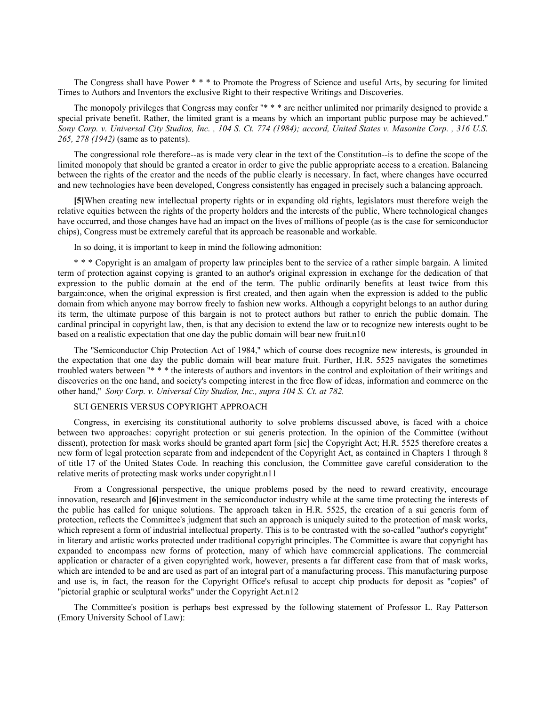The Congress shall have Power \* \* \* to Promote the Progress of Science and useful Arts, by securing for limited Times to Authors and Inventors the exclusive Right to their respective Writings and Discoveries.

The monopoly privileges that Congress may confer "\* \* \* are neither unlimited nor primarily designed to provide a special private benefit. Rather, the limited grant is a means by which an important public purpose may be achieved.'' *Sony Corp. v. Universal City Studios, Inc. , 104 S. Ct. 774 (1984); accord, United States v. Masonite Corp. , 316 U.S. 265, 278 (1942)* (same as to patents).

The congressional role therefore--as is made very clear in the text of the Constitution--is to define the scope of the limited monopoly that should be granted a creator in order to give the public appropriate access to a creation. Balancing between the rights of the creator and the needs of the public clearly is necessary. In fact, where changes have occurred and new technologies have been developed, Congress consistently has engaged in precisely such a balancing approach.

**[5]**When creating new intellectual property rights or in expanding old rights, legislators must therefore weigh the relative equities between the rights of the property holders and the interests of the public, Where technological changes have occurred, and those changes have had an impact on the lives of millions of people (as is the case for semiconductor chips), Congress must be extremely careful that its approach be reasonable and workable.

In so doing, it is important to keep in mind the following admonition:

\* \* \* Copyright is an amalgam of property law principles bent to the service of a rather simple bargain. A limited term of protection against copying is granted to an author's original expression in exchange for the dedication of that expression to the public domain at the end of the term. The public ordinarily benefits at least twice from this bargain:once, when the original expression is first created, and then again when the expression is added to the public domain from which anyone may borrow freely to fashion new works. Although a copyright belongs to an author during its term, the ultimate purpose of this bargain is not to protect authors but rather to enrich the public domain. The cardinal principal in copyright law, then, is that any decision to extend the law or to recognize new interests ought to be based on a realistic expectation that one day the public domain will bear new fruit.n10

The ''Semiconductor Chip Protection Act of 1984,'' which of course does recognize new interests, is grounded in the expectation that one day the public domain will bear mature fruit. Further, H.R. 5525 navigates the sometimes troubled waters between "\* \* \* the interests of authors and inventors in the control and exploitation of their writings and discoveries on the one hand, and society's competing interest in the free flow of ideas, information and commerce on the other hand,'' *Sony Corp. v. Universal City Studios, Inc., supra 104 S. Ct. at 782.*

# SUI GENERIS VERSUS COPYRIGHT APPROACH

Congress, in exercising its constitutional authority to solve problems discussed above, is faced with a choice between two approaches: copyright protection or sui generis protection. In the opinion of the Committee (without dissent), protection for mask works should be granted apart form [sic] the Copyright Act; H.R. 5525 therefore creates a new form of legal protection separate from and independent of the Copyright Act, as contained in Chapters 1 through 8 of title 17 of the United States Code. In reaching this conclusion, the Committee gave careful consideration to the relative merits of protecting mask works under copyright.n11

From a Congressional perspective, the unique problems posed by the need to reward creativity, encourage innovation, research and **[6]**investment in the semiconductor industry while at the same time protecting the interests of the public has called for unique solutions. The approach taken in H.R. 5525, the creation of a sui generis form of protection, reflects the Committee's judgment that such an approach is uniquely suited to the protection of mask works, which represent a form of industrial intellectual property. This is to be contrasted with the so-called "author's copyright" in literary and artistic works protected under traditional copyright principles. The Committee is aware that copyright has expanded to encompass new forms of protection, many of which have commercial applications. The commercial application or character of a given copyrighted work, however, presents a far different case from that of mask works, which are intended to be and are used as part of an integral part of a manufacturing process. This manufacturing purpose and use is, in fact, the reason for the Copyright Office's refusal to accept chip products for deposit as ''copies'' of ''pictorial graphic or sculptural works'' under the Copyright Act.n12

The Committee's position is perhaps best expressed by the following statement of Professor L. Ray Patterson (Emory University School of Law):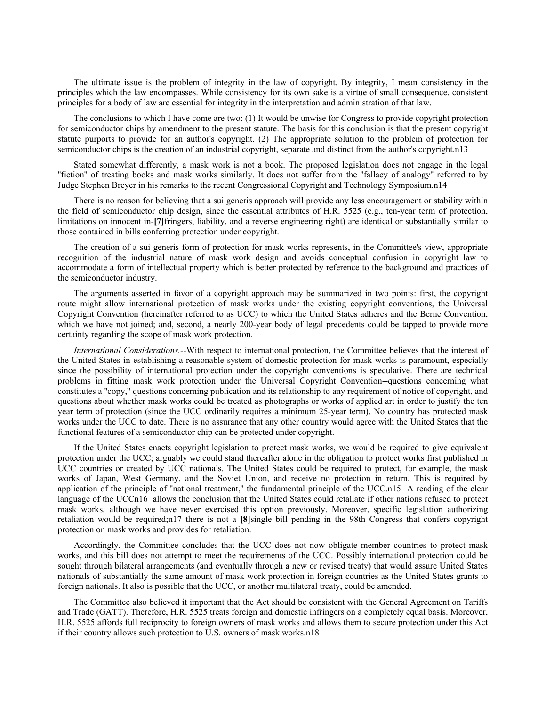The ultimate issue is the problem of integrity in the law of copyright. By integrity, I mean consistency in the principles which the law encompasses. While consistency for its own sake is a virtue of small consequence, consistent principles for a body of law are essential for integrity in the interpretation and administration of that law.

The conclusions to which I have come are two: (1) It would be unwise for Congress to provide copyright protection for semiconductor chips by amendment to the present statute. The basis for this conclusion is that the present copyright statute purports to provide for an author's copyright. (2) The appropriate solution to the problem of protection for semiconductor chips is the creation of an industrial copyright, separate and distinct from the author's copyright.n13

Stated somewhat differently, a mask work is not a book. The proposed legislation does not engage in the legal ''fiction'' of treating books and mask works similarly. It does not suffer from the ''fallacy of analogy'' referred to by Judge Stephen Breyer in his remarks to the recent Congressional Copyright and Technology Symposium.n14

There is no reason for believing that a sui generis approach will provide any less encouragement or stability within the field of semiconductor chip design, since the essential attributes of H.R. 5525 (e.g., ten-year term of protection, limitations on innocent in-**[7]**fringers, liability, and a reverse engineering right) are identical or substantially similar to those contained in bills conferring protection under copyright.

The creation of a sui generis form of protection for mask works represents, in the Committee's view, appropriate recognition of the industrial nature of mask work design and avoids conceptual confusion in copyright law to accommodate a form of intellectual property which is better protected by reference to the background and practices of the semiconductor industry.

The arguments asserted in favor of a copyright approach may be summarized in two points: first, the copyright route might allow international protection of mask works under the existing copyright conventions, the Universal Copyright Convention (hereinafter referred to as UCC) to which the United States adheres and the Berne Convention, which we have not joined; and, second, a nearly 200-year body of legal precedents could be tapped to provide more certainty regarding the scope of mask work protection.

*International Considerations.*--With respect to international protection, the Committee believes that the interest of the United States in establishing a reasonable system of domestic protection for mask works is paramount, especially since the possibility of international protection under the copyright conventions is speculative. There are technical problems in fitting mask work protection under the Universal Copyright Convention--questions concerning what constitutes a ''copy,'' questions concerning publication and its relationship to any requirement of notice of copyright, and questions about whether mask works could be treated as photographs or works of applied art in order to justify the ten year term of protection (since the UCC ordinarily requires a minimum 25-year term). No country has protected mask works under the UCC to date. There is no assurance that any other country would agree with the United States that the functional features of a semiconductor chip can be protected under copyright.

If the United States enacts copyright legislation to protect mask works, we would be required to give equivalent protection under the UCC; arguably we could stand thereafter alone in the obligation to protect works first published in UCC countries or created by UCC nationals. The United States could be required to protect, for example, the mask works of Japan, West Germany, and the Soviet Union, and receive no protection in return. This is required by application of the principle of ''national treatment,'' the fundamental principle of the UCC.n15 A reading of the clear language of the UCCn16 allows the conclusion that the United States could retaliate if other nations refused to protect mask works, although we have never exercised this option previously. Moreover, specific legislation authorizing retaliation would be required;n17 there is not a **[8]**single bill pending in the 98th Congress that confers copyright protection on mask works and provides for retaliation.

Accordingly, the Committee concludes that the UCC does not now obligate member countries to protect mask works, and this bill does not attempt to meet the requirements of the UCC. Possibly international protection could be sought through bilateral arrangements (and eventually through a new or revised treaty) that would assure United States nationals of substantially the same amount of mask work protection in foreign countries as the United States grants to foreign nationals. It also is possible that the UCC, or another multilateral treaty, could be amended.

The Committee also believed it important that the Act should be consistent with the General Agreement on Tariffs and Trade (GATT). Therefore, H.R. 5525 treats foreign and domestic infringers on a completely equal basis. Moreover, H.R. 5525 affords full reciprocity to foreign owners of mask works and allows them to secure protection under this Act if their country allows such protection to U.S. owners of mask works.n18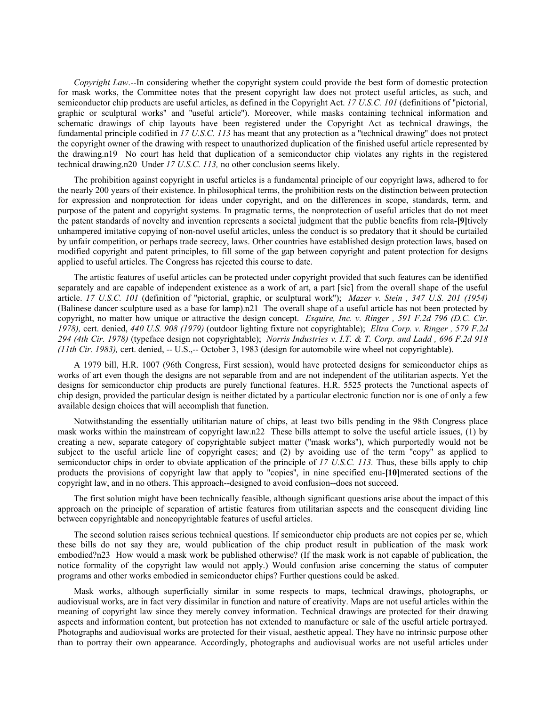*Copyright Law*.--In considering whether the copyright system could provide the best form of domestic protection for mask works, the Committee notes that the present copyright law does not protect useful articles, as such, and semiconductor chip products are useful articles, as defined in the Copyright Act. *17 U.S.C. 101* (definitions of ''pictorial, graphic or sculptural works'' and ''useful article''). Moreover, while masks containing technical information and schematic drawings of chip layouts have been registered under the Copyright Act as technical drawings, the fundamental principle codified in *17 U.S.C. 113* has meant that any protection as a ''technical drawing'' does not protect the copyright owner of the drawing with respect to unauthorized duplication of the finished useful article represented by the drawing.n19 No court has held that duplication of a semiconductor chip violates any rights in the registered technical drawing.n20 Under *17 U.S.C. 113,* no other conclusion seems likely.

The prohibition against copyright in useful articles is a fundamental principle of our copyright laws, adhered to for the nearly 200 years of their existence. In philosophical terms, the prohibition rests on the distinction between protection for expression and nonprotection for ideas under copyright, and on the differences in scope, standards, term, and purpose of the patent and copyright systems. In pragmatic terms, the nonprotection of useful articles that do not meet the patent standards of novelty and invention represents a societal judgment that the public benefits from rela-**[9]**tively unhampered imitative copying of non-novel useful articles, unless the conduct is so predatory that it should be curtailed by unfair competition, or perhaps trade secrecy, laws. Other countries have established design protection laws, based on modified copyright and patent principles, to fill some of the gap between copyright and patent protection for designs applied to useful articles. The Congress has rejected this course to date.

The artistic features of useful articles can be protected under copyright provided that such features can be identified separately and are capable of independent existence as a work of art, a part [sic] from the overall shape of the useful article. *17 U.S.C. 101* (definition of ''pictorial, graphic, or sculptural work''); *Mazer v. Stein , 347 U.S. 201 (1954)* (Balinese dancer sculpture used as a base for lamp).n21 The overall shape of a useful article has not been protected by copyright, no matter how unique or attractive the design concept. *Esquire, Inc. v. Ringer , 591 F.2d 796 (D.C. Cir. 1978),* cert. denied, *440 U.S. 908 (1979)* (outdoor lighting fixture not copyrightable); *Eltra Corp. v. Ringer , 579 F.2d 294 (4th Cir. 1978)* (typeface design not copyrightable); *Norris Industries v. I.T. & T. Corp. and Ladd , 696 F.2d 918 (11th Cir. 1983),* cert. denied, -- U.S.,-- October 3, 1983 (design for automobile wire wheel not copyrightable).

A 1979 bill, H.R. 1007 (96th Congress, First session), would have protected designs for semiconductor chips as works of art even though the designs are not separable from and are not independent of the utilitarian aspects. Yet the designs for semiconductor chip products are purely functional features. H.R. 5525 protects the 7unctional aspects of chip design, provided the particular design is neither dictated by a particular electronic function nor is one of only a few available design choices that will accomplish that function.

Notwithstanding the essentially utilitarian nature of chips, at least two bills pending in the 98th Congress place mask works within the mainstream of copyright law.n22 These bills attempt to solve the useful article issues, (1) by creating a new, separate category of copyrightable subject matter (''mask works''), which purportedly would not be subject to the useful article line of copyright cases; and (2) by avoiding use of the term ''copy'' as applied to semiconductor chips in order to obviate application of the principle of *17 U.S.C. 113.* Thus, these bills apply to chip products the provisions of copyright law that apply to ''copies'', in nine specified enu-**[10]**merated sections of the copyright law, and in no others. This approach--designed to avoid confusion--does not succeed.

The first solution might have been technically feasible, although significant questions arise about the impact of this approach on the principle of separation of artistic features from utilitarian aspects and the consequent dividing line between copyrightable and noncopyrightable features of useful articles.

The second solution raises serious technical questions. If semiconductor chip products are not copies per se, which these bills do not say they are, would publication of the chip product result in publication of the mask work embodied?n23 How would a mask work be published otherwise? (If the mask work is not capable of publication, the notice formality of the copyright law would not apply.) Would confusion arise concerning the status of computer programs and other works embodied in semiconductor chips? Further questions could be asked.

Mask works, although superficially similar in some respects to maps, technical drawings, photographs, or audiovisual works, are in fact very dissimilar in function and nature of creativity. Maps are not useful articles within the meaning of copyright law since they merely convey information. Technical drawings are protected for their drawing aspects and information content, but protection has not extended to manufacture or sale of the useful article portrayed. Photographs and audiovisual works are protected for their visual, aesthetic appeal. They have no intrinsic purpose other than to portray their own appearance. Accordingly, photographs and audiovisual works are not useful articles under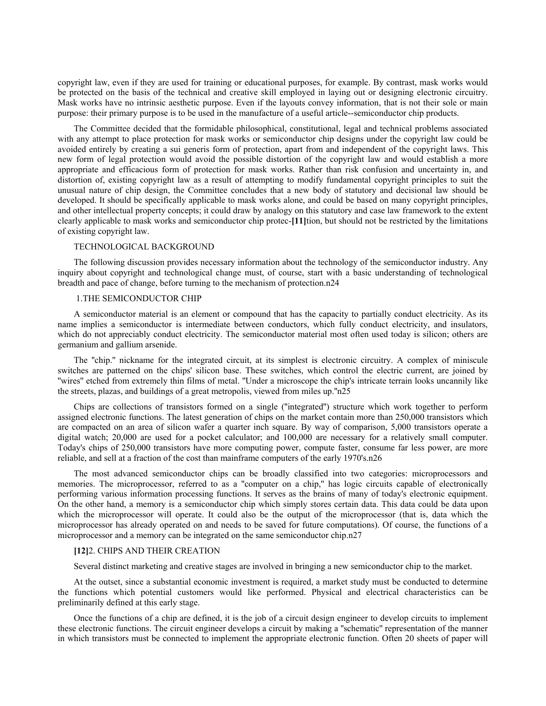copyright law, even if they are used for training or educational purposes, for example. By contrast, mask works would be protected on the basis of the technical and creative skill employed in laying out or designing electronic circuitry. Mask works have no intrinsic aesthetic purpose. Even if the layouts convey information, that is not their sole or main purpose: their primary purpose is to be used in the manufacture of a useful article--semiconductor chip products.

The Committee decided that the formidable philosophical, constitutional, legal and technical problems associated with any attempt to place protection for mask works or semiconductor chip designs under the copyright law could be avoided entirely by creating a sui generis form of protection, apart from and independent of the copyright laws. This new form of legal protection would avoid the possible distortion of the copyright law and would establish a more appropriate and efficacious form of protection for mask works. Rather than risk confusion and uncertainty in, and distortion of, existing copyright law as a result of attempting to modify fundamental copyright principles to suit the unusual nature of chip design, the Committee concludes that a new body of statutory and decisional law should be developed. It should be specifically applicable to mask works alone, and could be based on many copyright principles, and other intellectual property concepts; it could draw by analogy on this statutory and case law framework to the extent clearly applicable to mask works and semiconductor chip protec-**[11]**tion, but should not be restricted by the limitations of existing copyright law.

# TECHNOLOGICAL BACKGROUND

The following discussion provides necessary information about the technology of the semiconductor industry. Any inquiry about copyright and technological change must, of course, start with a basic understanding of technological breadth and pace of change, before turning to the mechanism of protection.n24

### 1.THE SEMICONDUCTOR CHIP

A semiconductor material is an element or compound that has the capacity to partially conduct electricity. As its name implies a semiconductor is intermediate between conductors, which fully conduct electricity, and insulators, which do not appreciably conduct electricity. The semiconductor material most often used today is silicon; others are germanium and gallium arsenide.

The "chip." nickname for the integrated circuit, at its simplest is electronic circuitry. A complex of miniscule switches are patterned on the chips' silicon base. These switches, which control the electric current, are joined by ''wires'' etched from extremely thin films of metal. ''Under a microscope the chip's intricate terrain looks uncannily like the streets, plazas, and buildings of a great metropolis, viewed from miles up.''n25

Chips are collections of transistors formed on a single (''integrated'') structure which work together to perform assigned electronic functions. The latest generation of chips on the market contain more than 250,000 transistors which are compacted on an area of silicon wafer a quarter inch square. By way of comparison, 5,000 transistors operate a digital watch; 20,000 are used for a pocket calculator; and 100,000 are necessary for a relatively small computer. Today's chips of 250,000 transistors have more computing power, compute faster, consume far less power, are more reliable, and sell at a fraction of the cost than mainframe computers of the early 1970's.n26

The most advanced semiconductor chips can be broadly classified into two categories: microprocessors and memories. The microprocessor, referred to as a "computer on a chip," has logic circuits capable of electronically performing various information processing functions. It serves as the brains of many of today's electronic equipment. On the other hand, a memory is a semiconductor chip which simply stores certain data. This data could be data upon which the microprocessor will operate. It could also be the output of the microprocessor (that is, data which the microprocessor has already operated on and needs to be saved for future computations). Of course, the functions of a microprocessor and a memory can be integrated on the same semiconductor chip.n27

### **[12]**2. CHIPS AND THEIR CREATION

Several distinct marketing and creative stages are involved in bringing a new semiconductor chip to the market.

At the outset, since a substantial economic investment is required, a market study must be conducted to determine the functions which potential customers would like performed. Physical and electrical characteristics can be preliminarily defined at this early stage.

Once the functions of a chip are defined, it is the job of a circuit design engineer to develop circuits to implement these electronic functions. The circuit engineer develops a circuit by making a ''schematic'' representation of the manner in which transistors must be connected to implement the appropriate electronic function. Often 20 sheets of paper will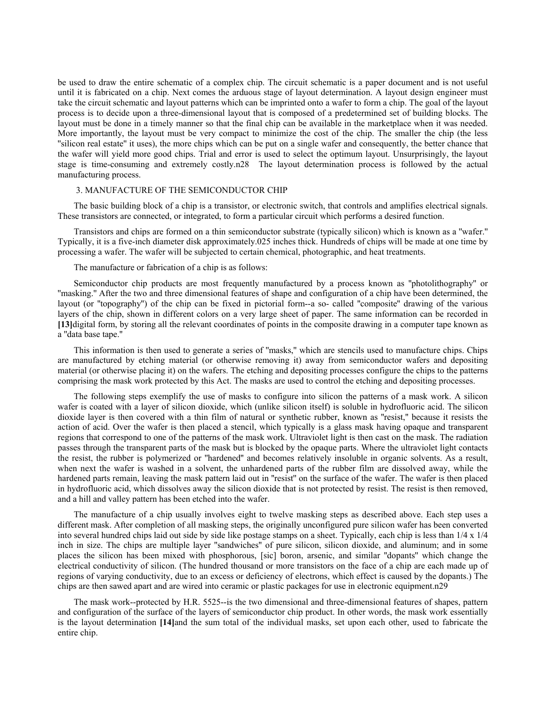be used to draw the entire schematic of a complex chip. The circuit schematic is a paper document and is not useful until it is fabricated on a chip. Next comes the arduous stage of layout determination. A layout design engineer must take the circuit schematic and layout patterns which can be imprinted onto a wafer to form a chip. The goal of the layout process is to decide upon a three-dimensional layout that is composed of a predetermined set of building blocks. The layout must be done in a timely manner so that the final chip can be available in the marketplace when it was needed. More importantly, the layout must be very compact to minimize the cost of the chip. The smaller the chip (the less ''silicon real estate'' it uses), the more chips which can be put on a single wafer and consequently, the better chance that the wafer will yield more good chips. Trial and error is used to select the optimum layout. Unsurprisingly, the layout stage is time-consuming and extremely costly.n28 The layout determination process is followed by the actual manufacturing process.

### 3. MANUFACTURE OF THE SEMICONDUCTOR CHIP

The basic building block of a chip is a transistor, or electronic switch, that controls and amplifies electrical signals. These transistors are connected, or integrated, to form a particular circuit which performs a desired function.

Transistors and chips are formed on a thin semiconductor substrate (typically silicon) which is known as a ''wafer.'' Typically, it is a five-inch diameter disk approximately.025 inches thick. Hundreds of chips will be made at one time by processing a wafer. The wafer will be subjected to certain chemical, photographic, and heat treatments.

The manufacture or fabrication of a chip is as follows:

Semiconductor chip products are most frequently manufactured by a process known as ''photolithography'' or ''masking.'' After the two and three dimensional features of shape and configuration of a chip have been determined, the layout (or ''topography'') of the chip can be fixed in pictorial form--a so- called ''composite'' drawing of the various layers of the chip, shown in different colors on a very large sheet of paper. The same information can be recorded in **[13]**digital form, by storing all the relevant coordinates of points in the composite drawing in a computer tape known as a ''data base tape.''

This information is then used to generate a series of ''masks,'' which are stencils used to manufacture chips. Chips are manufactured by etching material (or otherwise removing it) away from semiconductor wafers and depositing material (or otherwise placing it) on the wafers. The etching and depositing processes configure the chips to the patterns comprising the mask work protected by this Act. The masks are used to control the etching and depositing processes.

The following steps exemplify the use of masks to configure into silicon the patterns of a mask work. A silicon wafer is coated with a layer of silicon dioxide, which (unlike silicon itself) is soluble in hydrofluoric acid. The silicon dioxide layer is then covered with a thin film of natural or synthetic rubber, known as ''resist,'' because it resists the action of acid. Over the wafer is then placed a stencil, which typically is a glass mask having opaque and transparent regions that correspond to one of the patterns of the mask work. Ultraviolet light is then cast on the mask. The radiation passes through the transparent parts of the mask but is blocked by the opaque parts. Where the ultraviolet light contacts the resist, the rubber is polymerized or ''hardened'' and becomes relatively insoluble in organic solvents. As a result, when next the wafer is washed in a solvent, the unhardened parts of the rubber film are dissolved away, while the hardened parts remain, leaving the mask pattern laid out in ''resist'' on the surface of the wafer. The wafer is then placed in hydrofluoric acid, which dissolves away the silicon dioxide that is not protected by resist. The resist is then removed, and a hill and valley pattern has been etched into the wafer.

The manufacture of a chip usually involves eight to twelve masking steps as described above. Each step uses a different mask. After completion of all masking steps, the originally unconfigured pure silicon wafer has been converted into several hundred chips laid out side by side like postage stamps on a sheet. Typically, each chip is less than 1/4 x 1/4 inch in size. The chips are multiple layer ''sandwiches'' of pure silicon, silicon dioxide, and aluminum; and in some places the silicon has been mixed with phosphorous, [sic] boron, arsenic, and similar ''dopants'' which change the electrical conductivity of silicon. (The hundred thousand or more transistors on the face of a chip are each made up of regions of varying conductivity, due to an excess or deficiency of electrons, which effect is caused by the dopants.) The chips are then sawed apart and are wired into ceramic or plastic packages for use in electronic equipment.n29

The mask work--protected by H.R. 5525--is the two dimensional and three-dimensional features of shapes, pattern and configuration of the surface of the layers of semiconductor chip product. In other words, the mask work essentially is the layout determination **[14]**and the sum total of the individual masks, set upon each other, used to fabricate the entire chip.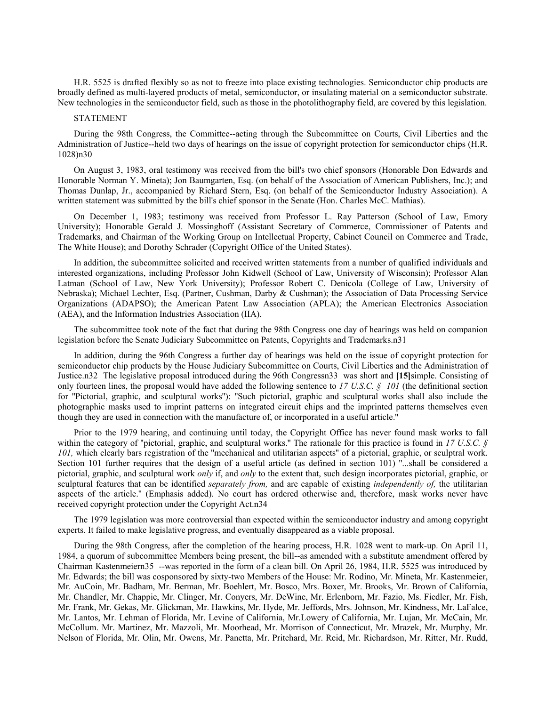H.R. 5525 is drafted flexibly so as not to freeze into place existing technologies. Semiconductor chip products are broadly defined as multi-layered products of metal, semiconductor, or insulating material on a semiconductor substrate. New technologies in the semiconductor field, such as those in the photolithography field, are covered by this legislation.

# STATEMENT

During the 98th Congress, the Committee--acting through the Subcommittee on Courts, Civil Liberties and the Administration of Justice--held two days of hearings on the issue of copyright protection for semiconductor chips (H.R. 1028)n30

On August 3, 1983, oral testimony was received from the bill's two chief sponsors (Honorable Don Edwards and Honorable Norman Y. Mineta); Jon Baumgarten, Esq. (on behalf of the Association of American Publishers, Inc.); and Thomas Dunlap, Jr., accompanied by Richard Stern, Esq. (on behalf of the Semiconductor Industry Association). A written statement was submitted by the bill's chief sponsor in the Senate (Hon. Charles McC. Mathias).

On December 1, 1983; testimony was received from Professor L. Ray Patterson (School of Law, Emory University); Honorable Gerald J. Mossinghoff (Assistant Secretary of Commerce, Commissioner of Patents and Trademarks, and Chairman of the Working Group on Intellectual Property, Cabinet Council on Commerce and Trade, The White House); and Dorothy Schrader (Copyright Office of the United States).

In addition, the subcommittee solicited and received written statements from a number of qualified individuals and interested organizations, including Professor John Kidwell (School of Law, University of Wisconsin); Professor Alan Latman (School of Law, New York University); Professor Robert C. Denicola (College of Law, University of Nebraska); Michael Lechter, Esq. (Partner, Cushman, Darby & Cushman); the Association of Data Processing Service Organizations (ADAPSO); the American Patent Law Association (APLA); the American Electronics Association (AEA), and the Information Industries Association (IIA).

The subcommittee took note of the fact that during the 98th Congress one day of hearings was held on companion legislation before the Senate Judiciary Subcommittee on Patents, Copyrights and Trademarks.n31

In addition, during the 96th Congress a further day of hearings was held on the issue of copyright protection for semiconductor chip products by the House Judiciary Subcommittee on Courts, Civil Liberties and the Administration of Justice.n32 The legislative proposal introduced during the 96th Congressn33 was short and **[15]**simple. Consisting of only fourteen lines, the proposal would have added the following sentence to *17 U.S.C. § 101* (the definitional section for ''Pictorial, graphic, and sculptural works''): ''Such pictorial, graphic and sculptural works shall also include the photographic masks used to imprint patterns on integrated circuit chips and the imprinted patterns themselves even though they are used in connection with the manufacture of, or incorporated in a useful article.''

Prior to the 1979 hearing, and continuing until today, the Copyright Office has never found mask works to fall within the category of ''pictorial, graphic, and sculptural works.'' The rationale for this practice is found in *17 U.S.C. § 101,* which clearly bars registration of the ''mechanical and utilitarian aspects'' of a pictorial, graphic, or sculptral work. Section 101 further requires that the design of a useful article (as defined in section 101) ''...shall be considered a pictorial, graphic, and sculptural work *only* if, and *only* to the extent that, such design incorporates pictorial, graphic, or sculptural features that can be identified *separately from,* and are capable of existing *independently of,* the utilitarian aspects of the article.'' (Emphasis added). No court has ordered otherwise and, therefore, mask works never have received copyright protection under the Copyright Act.n34

The 1979 legislation was more controversial than expected within the semiconductor industry and among copyright experts. It failed to make legislative progress, and eventually disappeared as a viable proposal.

During the 98th Congress, after the completion of the hearing process, H.R. 1028 went to mark-up. On April 11, 1984, a quorum of subcommittee Members being present, the bill--as amended with a substitute amendment offered by Chairman Kastenmeiern35 --was reported in the form of a clean bill. On April 26, 1984, H.R. 5525 was introduced by Mr. Edwards; the bill was cosponsored by sixty-two Members of the House: Mr. Rodino, Mr. Mineta, Mr. Kastenmeier, Mr. AuCoin, Mr. Badham, Mr. Berman, Mr. Boehlert, Mr. Bosco, Mrs. Boxer, Mr. Brooks, Mr. Brown of California, Mr. Chandler, Mr. Chappie, Mr. Clinger, Mr. Conyers, Mr. DeWine, Mr. Erlenborn, Mr. Fazio, Ms. Fiedler, Mr. Fish, Mr. Frank, Mr. Gekas, Mr. Glickman, Mr. Hawkins, Mr. Hyde, Mr. Jeffords, Mrs. Johnson, Mr. Kindness, Mr. LaFalce, Mr. Lantos, Mr. Lehman of Florida, Mr. Levine of California, Mr.Lowery of California, Mr. Lujan, Mr. McCain, Mr. McCollum. Mr. Martinez, Mr. Mazzoli, Mr. Moorhead, Mr. Morrison of Connecticut, Mr. Mrazek, Mr. Murphy, Mr. Nelson of Florida, Mr. Olin, Mr. Owens, Mr. Panetta, Mr. Pritchard, Mr. Reid, Mr. Richardson, Mr. Ritter, Mr. Rudd,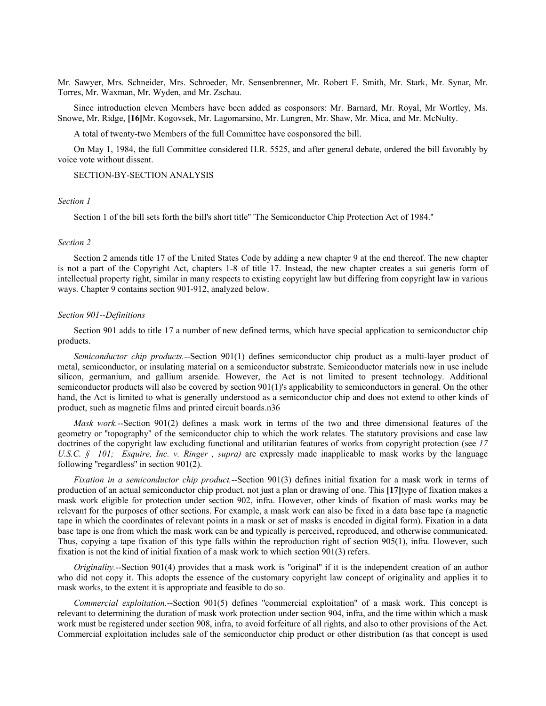Mr. Sawyer, Mrs. Schneider, Mrs. Schroeder, Mr. Sensenbrenner, Mr. Robert F. Smith, Mr. Stark, Mr. Synar, Mr. Torres, Mr. Waxman, Mr. Wyden, and Mr. Zschau.

Since introduction eleven Members have been added as cosponsors: Mr. Barnard, Mr. Royal, Mr Wortley, Ms. Snowe, Mr. Ridge, **[16]**Mr. Kogovsek, Mr. Lagomarsino, Mr. Lungren, Mr. Shaw, Mr. Mica, and Mr. McNulty.

A total of twenty-two Members of the full Committee have cosponsored the bill.

On May 1, 1984, the full Committee considered H.R. 5525, and after general debate, ordered the bill favorably by voice vote without dissent.

# SECTION-BY-SECTION ANALYSIS

# *Section 1*

Section 1 of the bill sets forth the bill's short title'' 'The Semiconductor Chip Protection Act of 1984.''

#### *Section 2*

Section 2 amends title 17 of the United States Code by adding a new chapter 9 at the end thereof. The new chapter is not a part of the Copyright Act, chapters 1-8 of title 17. Instead, the new chapter creates a sui generis form of intellectual property right, similar in many respects to existing copyright law but differing from copyright law in various ways. Chapter 9 contains section 901-912, analyzed below.

# *Section 901--Definitions*

Section 901 adds to title 17 a number of new defined terms, which have special application to semiconductor chip products.

*Semiconductor chip products.*--Section 901(1) defines semiconductor chip product as a multi-layer product of metal, semiconductor, or insulating material on a semiconductor substrate. Semiconductor materials now in use include silicon, germanium, and gallium arsenide. However, the Act is not limited to present technology. Additional semiconductor products will also be covered by section 901(1)'s applicability to semiconductors in general. On the other hand, the Act is limited to what is generally understood as a semiconductor chip and does not extend to other kinds of product, such as magnetic films and printed circuit boards.n36

*Mask work.*--Section 901(2) defines a mask work in terms of the two and three dimensional features of the geometry or ''topography'' of the semiconductor chip to which the work relates. The statutory provisions and case law doctrines of the copyright law excluding functional and utilitarian features of works from copyright protection (see *17 U.S.C. § 101; Esquire, Inc. v. Ringer, supra)* are expressly made inapplicable to mask works by the language following ''regardless'' in section 901(2).

*Fixation in a semiconductor chip product.*--Section 901(3) defines initial fixation for a mask work in terms of production of an actual semiconductor chip product, not just a plan or drawing of one. This **[17]**type of fixation makes a mask work eligible for protection under section 902, infra. However, other kinds of fixation of mask works may be relevant for the purposes of other sections. For example, a mask work can also be fixed in a data base tape (a magnetic tape in which the coordinates of relevant points in a mask or set of masks is encoded in digital form). Fixation in a data base tape is one from which the mask work can be and typically is perceived, reproduced, and otherwise communicated. Thus, copying a tape fixation of this type falls within the reproduction right of section 905(1), infra. However, such fixation is not the kind of initial fixation of a mask work to which section 901(3) refers.

*Originality.*--Section 901(4) provides that a mask work is "original" if it is the independent creation of an author who did not copy it. This adopts the essence of the customary copyright law concept of originality and applies it to mask works, to the extent it is appropriate and feasible to do so.

*Commercial exploitation.*--Section 901(5) defines ''commercial exploitation'' of a mask work. This concept is relevant to determining the duration of mask work protection under section 904, infra, and the time within which a mask work must be registered under section 908, infra, to avoid forfeiture of all rights, and also to other provisions of the Act. Commercial exploitation includes sale of the semiconductor chip product or other distribution (as that concept is used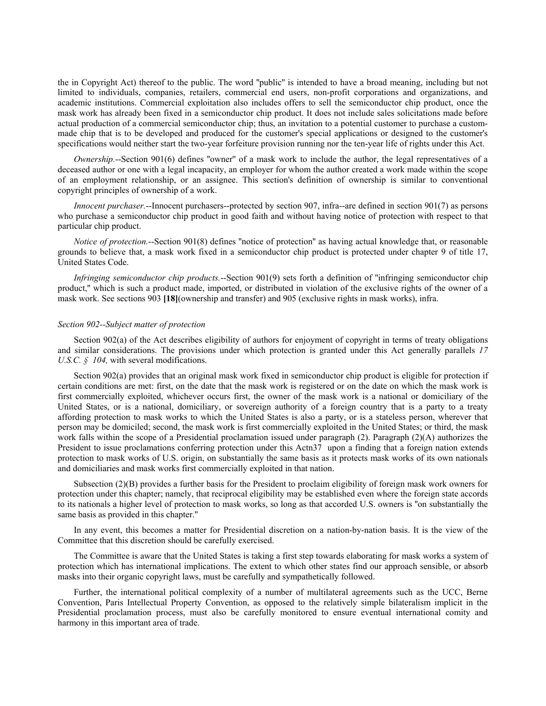the in Copyright Act) thereof to the public. The word ''public'' is intended to have a broad meaning, including but not limited to individuals, companies, retailers, commercial end users, non-profit corporations and organizations, and academic institutions. Commercial exploitation also includes offers to sell the semiconductor chip product, once the mask work has already been fixed in a semiconductor chip product. It does not include sales solicitations made before actual production of a commercial semiconductor chip; thus, an invitation to a potential customer to purchase a custommade chip that is to be developed and produced for the customer's special applications or designed to the customer's specifications would neither start the two-year forfeiture provision running nor the ten-year life of rights under this Act.

*Ownership.*--Section 901(6) defines ''owner'' of a mask work to include the author, the legal representatives of a deceased author or one with a legal incapacity, an employer for whom the author created a work made within the scope of an employment relationship, or an assignee. This section's definition of ownership is similar to conventional copyright principles of ownership of a work.

*Innocent purchaser.*--Innocent purchasers--protected by section 907, infra--are defined in section 901(7) as persons who purchase a semiconductor chip product in good faith and without having notice of protection with respect to that particular chip product.

*Notice of protection.*--Section 901(8) defines ''notice of protection'' as having actual knowledge that, or reasonable grounds to believe that, a mask work fixed in a semiconductor chip product is protected under chapter 9 of title 17, United States Code.

*Infringing semiconductor chip products.*--Section 901(9) sets forth a definition of ''infringing semiconductor chip product,'' which is such a product made, imported, or distributed in violation of the exclusive rights of the owner of a mask work. See sections 903 **[18]**(ownership and transfer) and 905 (exclusive rights in mask works), infra.

### *Section 902--Subject matter of protection*

Section 902(a) of the Act describes eligibility of authors for enjoyment of copyright in terms of treaty obligations and similar considerations. The provisions under which protection is granted under this Act generally parallels *17 U.S.C. § 104,* with several modifications.

Section 902(a) provides that an original mask work fixed in semiconductor chip product is eligible for protection if certain conditions are met: first, on the date that the mask work is registered or on the date on which the mask work is first commercially exploited, whichever occurs first, the owner of the mask work is a national or domiciliary of the United States, or is a national, domiciliary, or sovereign authority of a foreign country that is a party to a treaty affording protection to mask works to which the United States is also a party, or is a stateless person, wherever that person may be domiciled; second, the mask work is first commercially exploited in the United States; or third, the mask work falls within the scope of a Presidential proclamation issued under paragraph (2). Paragraph (2)(A) authorizes the President to issue proclamations conferring protection under this Actn37 upon a finding that a foreign nation extends protection to mask works of U.S. origin, on substantially the same basis as it protects mask works of its own nationals and domiciliaries and mask works first commercially exploited in that nation.

Subsection (2)(B) provides a further basis for the President to proclaim eligibility of foreign mask work owners for protection under this chapter; namely, that reciprocal eligibility may be established even where the foreign state accords to its nationals a higher level of protection to mask works, so long as that accorded U.S. owners is ''on substantially the same basis as provided in this chapter.''

In any event, this becomes a matter for Presidential discretion on a nation-by-nation basis. It is the view of the Committee that this discretion should be carefully exercised.

The Committee is aware that the United States is taking a first step towards elaborating for mask works a system of protection which has international implications. The extent to which other states find our approach sensible, or absorb masks into their organic copyright laws, must be carefully and sympathetically followed.

Further, the international political complexity of a number of multilateral agreements such as the UCC, Berne Convention, Paris Intellectual Property Convention, as opposed to the relatively simple bilateralism implicit in the Presidential proclamation process, must also be carefully monitored to ensure eventual international comity and harmony in this important area of trade.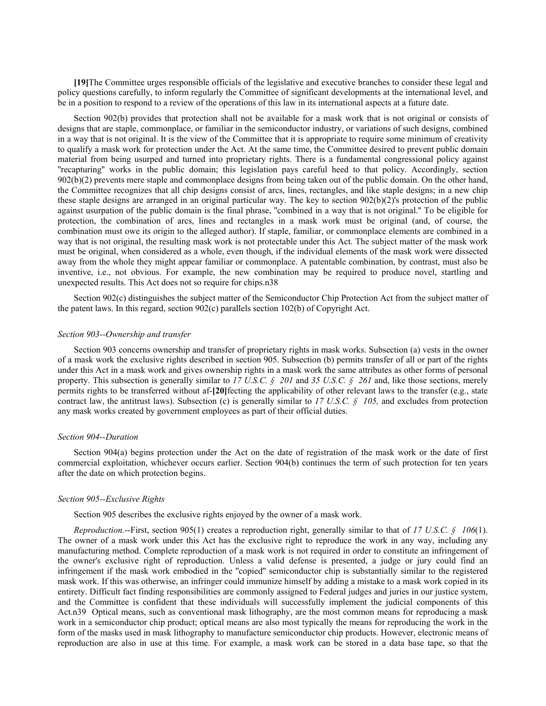**[19]**The Committee urges responsible officials of the legislative and executive branches to consider these legal and policy questions carefully, to inform regularly the Committee of significant developments at the international level, and be in a position to respond to a review of the operations of this law in its international aspects at a future date.

Section 902(b) provides that protection shall not be available for a mask work that is not original or consists of designs that are staple, commonplace, or familiar in the semiconductor industry, or variations of such designs, combined in a way that is not original. It is the view of the Committee that it is appropriate to require some minimum of creativity to qualify a mask work for protection under the Act. At the same time, the Committee desired to prevent public domain material from being usurped and turned into proprietary rights. There is a fundamental congressional policy against ''recapturing'' works in the public domain; this legislation pays careful heed to that policy. Accordingly, section 902(b)(2) prevents mere staple and commonplace designs from being taken out of the public domain. On the other hand, the Committee recognizes that all chip designs consist of arcs, lines, rectangles, and like staple designs; in a new chip these staple designs are arranged in an original particular way. The key to section 902(b)(2)'s protection of the public against usurpation of the public domain is the final phrase, ''combined in a way that is not original.'' To be eligible for protection, the combination of arcs, lines and rectangles in a mask work must be original (and, of course, the combination must owe its origin to the alleged author). If staple, familiar, or commonplace elements are combined in a way that is not original, the resulting mask work is not protectable under this Act. The subject matter of the mask work must be original, when considered as a whole, even though, if the individual elements of the mask work were dissected away from the whole they might appear familiar or commonplace. A patentable combination, by contrast, must also be inventive, i.e., not obvious. For example, the new combination may be required to produce novel, startling and unexpected results. This Act does not so require for chips.n38

Section 902(c) distinguishes the subject matter of the Semiconductor Chip Protection Act from the subject matter of the patent laws. In this regard, section 902(c) parallels section 102(b) of Copyright Act.

## *Section 903--Ownership and transfer*

Section 903 concerns ownership and transfer of proprietary rights in mask works. Subsection (a) vests in the owner of a mask work the exclusive rights described in section 905. Subsection (b) permits transfer of all or part of the rights under this Act in a mask work and gives ownership rights in a mask work the same attributes as other forms of personal property. This subsection is generally similar to *17 U.S.C. § 201* and *35 U.S.C. § 261* and, like those sections, merely permits rights to be transferred without af-**[20]**fecting the applicability of other relevant laws to the transfer (e.g., state contract law, the antitrust laws). Subsection (c) is generally similar to  $17 \text{ U.S.C.}$  §  $105$ , and excludes from protection any mask works created by government employees as part of their official duties.

#### *Section 904--Duration*

Section 904(a) begins protection under the Act on the date of registration of the mask work or the date of first commercial exploitation, whichever occurs earlier. Section 904(b) continues the term of such protection for ten years after the date on which protection begins.

# *Section 905--Exclusive Rights*

Section 905 describes the exclusive rights enjoyed by the owner of a mask work.

*Reproduction.*--First, section 905(1) creates a reproduction right, generally similar to that of *17 U.S.C. § 106*(1). The owner of a mask work under this Act has the exclusive right to reproduce the work in any way, including any manufacturing method. Complete reproduction of a mask work is not required in order to constitute an infringement of the owner's exclusive right of reproduction. Unless a valid defense is presented, a judge or jury could find an infringement if the mask work embodied in the ''copied'' semiconductor chip is substantially similar to the registered mask work. If this was otherwise, an infringer could immunize himself by adding a mistake to a mask work copied in its entirety. Difficult fact finding responsibilities are commonly assigned to Federal judges and juries in our justice system, and the Committee is confident that these individuals will successfully implement the judicial components of this Act.n39 Optical means, such as conventional mask lithography, are the most common means for reproducing a mask work in a semiconductor chip product; optical means are also most typically the means for reproducing the work in the form of the masks used in mask lithography to manufacture semiconductor chip products. However, electronic means of reproduction are also in use at this time. For example, a mask work can be stored in a data base tape, so that the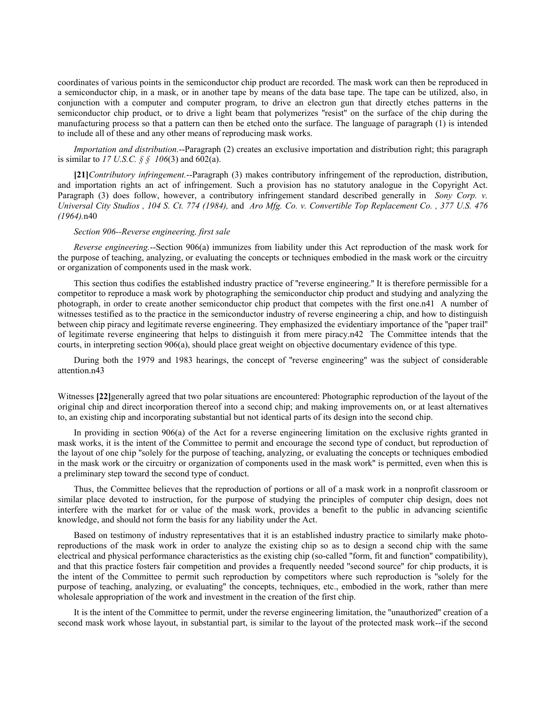coordinates of various points in the semiconductor chip product are recorded. The mask work can then be reproduced in a semiconductor chip, in a mask, or in another tape by means of the data base tape. The tape can be utilized, also, in conjunction with a computer and computer program, to drive an electron gun that directly etches patterns in the semiconductor chip product, or to drive a light beam that polymerizes "resist" on the surface of the chip during the manufacturing process so that a pattern can then be etched onto the surface. The language of paragraph (1) is intended to include all of these and any other means of reproducing mask works.

*Importation and distribution.*--Paragraph (2) creates an exclusive importation and distribution right; this paragraph is similar to *17 U.S.C. § § 106*(3) and 602(a).

**[21]***Contributory infringement.*--Paragraph (3) makes contributory infringement of the reproduction, distribution, and importation rights an act of infringement. Such a provision has no statutory analogue in the Copyright Act. Paragraph (3) does follow, however, a contributory infringement standard described generally in *Sony Corp. v. Universal City Studios , 104 S. Ct. 774 (1984),* and *Aro Mfg. Co. v. Convertible Top Replacement Co. , 377 U.S. 476 (1964).*n40

# *Section 906--Reverse engineering, first sale*

*Reverse engineering.*--Section 906(a) immunizes from liability under this Act reproduction of the mask work for the purpose of teaching, analyzing, or evaluating the concepts or techniques embodied in the mask work or the circuitry or organization of components used in the mask work.

This section thus codifies the established industry practice of ''reverse engineering.'' It is therefore permissible for a competitor to reproduce a mask work by photographing the semiconductor chip product and studying and analyzing the photograph, in order to create another semiconductor chip product that competes with the first one.n41 A number of witnesses testified as to the practice in the semiconductor industry of reverse engineering a chip, and how to distinguish between chip piracy and legitimate reverse engineering. They emphasized the evidentiary importance of the ''paper trail'' of legitimate reverse engineering that helps to distinguish it from mere piracy.n42 The Committee intends that the courts, in interpreting section 906(a), should place great weight on objective documentary evidence of this type.

During both the 1979 and 1983 hearings, the concept of ''reverse engineering'' was the subject of considerable attention.n43

Witnesses **[22]**generally agreed that two polar situations are encountered: Photographic reproduction of the layout of the original chip and direct incorporation thereof into a second chip; and making improvements on, or at least alternatives to, an existing chip and incorporating substantial but not identical parts of its design into the second chip.

In providing in section 906(a) of the Act for a reverse engineering limitation on the exclusive rights granted in mask works, it is the intent of the Committee to permit and encourage the second type of conduct, but reproduction of the layout of one chip ''solely for the purpose of teaching, analyzing, or evaluating the concepts or techniques embodied in the mask work or the circuitry or organization of components used in the mask work'' is permitted, even when this is a preliminary step toward the second type of conduct.

Thus, the Committee believes that the reproduction of portions or all of a mask work in a nonprofit classroom or similar place devoted to instruction, for the purpose of studying the principles of computer chip design, does not interfere with the market for or value of the mask work, provides a benefit to the public in advancing scientific knowledge, and should not form the basis for any liability under the Act.

Based on testimony of industry representatives that it is an established industry practice to similarly make photoreproductions of the mask work in order to analyze the existing chip so as to design a second chip with the same electrical and physical performance characteristics as the existing chip (so-called ''form, fit and function'' compatibility), and that this practice fosters fair competition and provides a frequently needed ''second source'' for chip products, it is the intent of the Committee to permit such reproduction by competitors where such reproduction is ''solely for the purpose of teaching, analyzing, or evaluating'' the concepts, techniques, etc., embodied in the work, rather than mere wholesale appropriation of the work and investment in the creation of the first chip.

It is the intent of the Committee to permit, under the reverse engineering limitation, the ''unauthorized'' creation of a second mask work whose layout, in substantial part, is similar to the layout of the protected mask work--if the second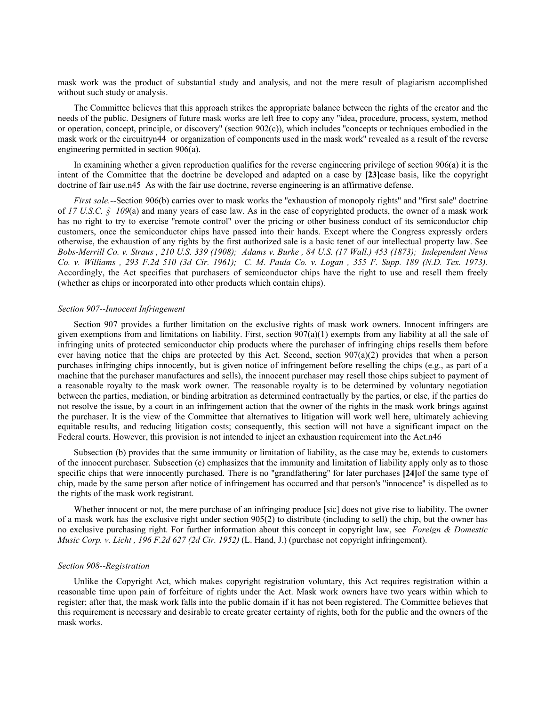mask work was the product of substantial study and analysis, and not the mere result of plagiarism accomplished without such study or analysis.

The Committee believes that this approach strikes the appropriate balance between the rights of the creator and the needs of the public. Designers of future mask works are left free to copy any ''idea, procedure, process, system, method or operation, concept, principle, or discovery'' (section 902(c)), which includes ''concepts or techniques embodied in the mask work or the circuitryn44 or organization of components used in the mask work'' revealed as a result of the reverse engineering permitted in section 906(a).

In examining whether a given reproduction qualifies for the reverse engineering privilege of section 906(a) it is the intent of the Committee that the doctrine be developed and adapted on a case by **[23]**case basis, like the copyright doctrine of fair use.n45 As with the fair use doctrine, reverse engineering is an affirmative defense.

*First sale.*--Section 906(b) carries over to mask works the "exhaustion of monopoly rights" and "first sale" doctrine of *17 U.S.C. § 109*(a) and many years of case law. As in the case of copyrighted products, the owner of a mask work has no right to try to exercise ''remote control'' over the pricing or other business conduct of its semiconductor chip customers, once the semiconductor chips have passed into their hands. Except where the Congress expressly orders otherwise, the exhaustion of any rights by the first authorized sale is a basic tenet of our intellectual property law. See *Bobs-Merrill Co. v. Straus , 210 U.S. 339 (1908); Adams v. Burke , 84 U.S. (17 Wall.) 453 (1873); Independent News Co. v. Williams , 293 F.2d 510 (3d Cir. 1961); C. M. Paula Co. v. Logan , 355 F. Supp. 189 (N.D. Tex. 1973).* Accordingly, the Act specifies that purchasers of semiconductor chips have the right to use and resell them freely (whether as chips or incorporated into other products which contain chips).

# *Section 907--Innocent Infringement*

Section 907 provides a further limitation on the exclusive rights of mask work owners. Innocent infringers are given exemptions from and limitations on liability. First, section  $907(a)(1)$  exempts from any liability at all the sale of infringing units of protected semiconductor chip products where the purchaser of infringing chips resells them before ever having notice that the chips are protected by this Act. Second, section 907(a)(2) provides that when a person purchases infringing chips innocently, but is given notice of infringement before reselling the chips (e.g., as part of a machine that the purchaser manufactures and sells), the innocent purchaser may resell those chips subject to payment of a reasonable royalty to the mask work owner. The reasonable royalty is to be determined by voluntary negotiation between the parties, mediation, or binding arbitration as determined contractually by the parties, or else, if the parties do not resolve the issue, by a court in an infringement action that the owner of the rights in the mask work brings against the purchaser. It is the view of the Committee that alternatives to litigation will work well here, ultimately achieving equitable results, and reducing litigation costs; consequently, this section will not have a significant impact on the Federal courts. However, this provision is not intended to inject an exhaustion requirement into the Act.n46

Subsection (b) provides that the same immunity or limitation of liability, as the case may be, extends to customers of the innocent purchaser. Subsection (c) emphasizes that the immunity and limitation of liability apply only as to those specific chips that were innocently purchased. There is no ''grandfathering'' for later purchases **[24]**of the same type of chip, made by the same person after notice of infringement has occurred and that person's ''innocence'' is dispelled as to the rights of the mask work registrant.

Whether innocent or not, the mere purchase of an infringing produce [sic] does not give rise to liability. The owner of a mask work has the exclusive right under section 905(2) to distribute (including to sell) the chip, but the owner has no exclusive purchasing right. For further information about this concept in copyright law, see *Foreign & Domestic Music Corp. v. Licht , 196 F.2d 627 (2d Cir. 1952)* (L. Hand, J.) (purchase not copyright infringement).

#### *Section 908--Registration*

Unlike the Copyright Act, which makes copyright registration voluntary, this Act requires registration within a reasonable time upon pain of forfeiture of rights under the Act. Mask work owners have two years within which to register; after that, the mask work falls into the public domain if it has not been registered. The Committee believes that this requirement is necessary and desirable to create greater certainty of rights, both for the public and the owners of the mask works.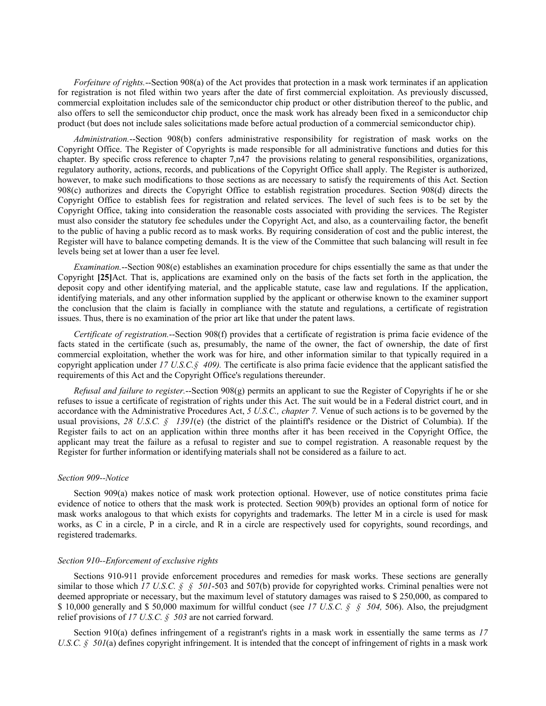*Forfeiture of rights.*--Section 908(a) of the Act provides that protection in a mask work terminates if an application for registration is not filed within two years after the date of first commercial exploitation. As previously discussed, commercial exploitation includes sale of the semiconductor chip product or other distribution thereof to the public, and also offers to sell the semiconductor chip product, once the mask work has already been fixed in a semiconductor chip product (but does not include sales solicitations made before actual production of a commercial semiconductor chip).

*Administration.*--Section 908(b) confers administrative responsibility for registration of mask works on the Copyright Office. The Register of Copyrights is made responsible for all administrative functions and duties for this chapter. By specific cross reference to chapter 7,n47 the provisions relating to general responsibilities, organizations, regulatory authority, actions, records, and publications of the Copyright Office shall apply. The Register is authorized, however, to make such modifications to those sections as are necessary to satisfy the requirements of this Act. Section 908(c) authorizes and directs the Copyright Office to establish registration procedures. Section 908(d) directs the Copyright Office to establish fees for registration and related services. The level of such fees is to be set by the Copyright Office, taking into consideration the reasonable costs associated with providing the services. The Register must also consider the statutory fee schedules under the Copyright Act, and also, as a countervailing factor, the benefit to the public of having a public record as to mask works. By requiring consideration of cost and the public interest, the Register will have to balance competing demands. It is the view of the Committee that such balancing will result in fee levels being set at lower than a user fee level.

*Examination.*--Section 908(e) establishes an examination procedure for chips essentially the same as that under the Copyright **[25]**Act. That is, applications are examined only on the basis of the facts set forth in the application, the deposit copy and other identifying material, and the applicable statute, case law and regulations. If the application, identifying materials, and any other information supplied by the applicant or otherwise known to the examiner support the conclusion that the claim is facially in compliance with the statute and regulations, a certificate of registration issues. Thus, there is no examination of the prior art like that under the patent laws.

*Certificate of registration.*--Section 908(f) provides that a certificate of registration is prima facie evidence of the facts stated in the certificate (such as, presumably, the name of the owner, the fact of ownership, the date of first commercial exploitation, whether the work was for hire, and other information similar to that typically required in a copyright application under  $17 \text{ U.S. C. §}$  409). The certificate is also prima facie evidence that the applicant satisfied the requirements of this Act and the Copyright Office's regulations thereunder.

*Refusal and failure to register.*--Section 908(g) permits an applicant to sue the Register of Copyrights if he or she refuses to issue a certificate of registration of rights under this Act. The suit would be in a Federal district court, and in accordance with the Administrative Procedures Act, *5 U.S.C., chapter 7.* Venue of such actions is to be governed by the usual provisions, 28 U.S.C. § 1391(e) (the district of the plaintiff's residence or the District of Columbia). If the Register fails to act on an application within three months after it has been received in the Copyright Office, the applicant may treat the failure as a refusal to register and sue to compel registration. A reasonable request by the Register for further information or identifying materials shall not be considered as a failure to act.

#### *Section 909--Notice*

Section 909(a) makes notice of mask work protection optional. However, use of notice constitutes prima facie evidence of notice to others that the mask work is protected. Section 909(b) provides an optional form of notice for mask works analogous to that which exists for copyrights and trademarks. The letter M in a circle is used for mask works, as C in a circle, P in a circle, and R in a circle are respectively used for copyrights, sound recordings, and registered trademarks.

# *Section 910--Enforcement of exclusive rights*

Sections 910-911 provide enforcement procedures and remedies for mask works. These sections are generally similar to those which *17 U.S.C. § § 501*-503 and 507(b) provide for copyrighted works. Criminal penalties were not deemed appropriate or necessary, but the maximum level of statutory damages was raised to \$ 250,000, as compared to \$ 10,000 generally and \$ 50,000 maximum for willful conduct (see *17 U.S.C. § § 504,* 506). Also, the prejudgment relief provisions of *17 U.S.C. § 503* are not carried forward.

Section 910(a) defines infringement of a registrant's rights in a mask work in essentially the same terms as *17 U.S.C. § 501*(a) defines copyright infringement. It is intended that the concept of infringement of rights in a mask work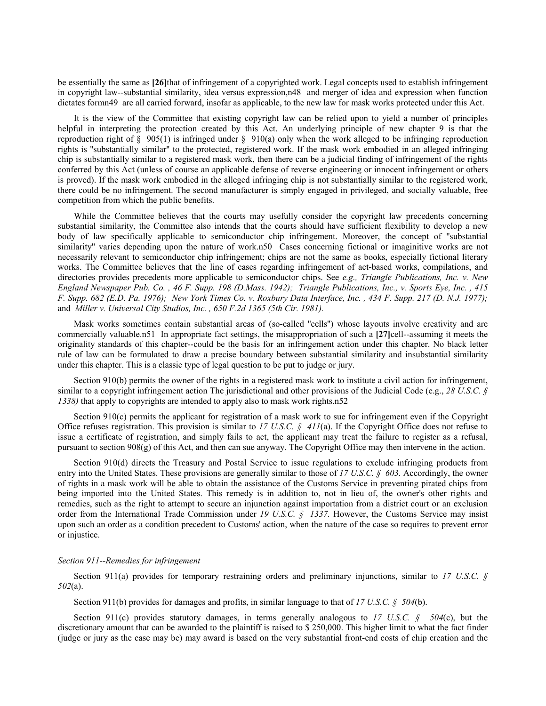be essentially the same as **[26]**that of infringement of a copyrighted work. Legal concepts used to establish infringement in copyright law--substantial similarity, idea versus expression,n48 and merger of idea and expression when function dictates formn49 are all carried forward, insofar as applicable, to the new law for mask works protected under this Act.

It is the view of the Committee that existing copyright law can be relied upon to yield a number of principles helpful in interpreting the protection created by this Act. An underlying principle of new chapter 9 is that the reproduction right of  $\S$  905(1) is infringed under  $\S$  910(a) only when the work alleged to be infringing reproduction rights is ''substantially similar'' to the protected, registered work. If the mask work embodied in an alleged infringing chip is substantially similar to a registered mask work, then there can be a judicial finding of infringement of the rights conferred by this Act (unless of course an applicable defense of reverse engineering or innocent infringement or others is proved). If the mask work embodied in the alleged infringing chip is not substantially similar to the registered work, there could be no infringement. The second manufacturer is simply engaged in privileged, and socially valuable, free competition from which the public benefits.

While the Committee believes that the courts may usefully consider the copyright law precedents concerning substantial similarity, the Committee also intends that the courts should have sufficient flexibility to develop a new body of law specifically applicable to semiconductor chip infringement. Moreover, the concept of ''substantial similarity'' varies depending upon the nature of work.n50 Cases concerning fictional or imaginitive works are not necessarily relevant to semiconductor chip infringement; chips are not the same as books, especially fictional literary works. The Committee believes that the line of cases regarding infringement of act-based works, compilations, and directories provides precedents more applicable to semiconductor chips. See *e.g., Triangle Publications, Inc. v. New England Newspaper Pub. Co. , 46 F. Supp. 198 (D.Mass. 1942); Triangle Publications, Inc., v. Sports Eye, Inc. , 415 F. Supp. 682 (E.D. Pa. 1976); New York Times Co. v. Roxbury Data Interface, Inc. , 434 F. Supp. 217 (D. N.J. 1977);* and *Miller v. Universal City Studios, Inc. , 650 F.2d 1365 (5th Cir. 1981).*

Mask works sometimes contain substantial areas of (so-called ''cells'') whose layouts involve creativity and are commercially valuable.n51 In appropriate fact settings, the misappropriation of such a **[27]**cell--assuming it meets the originality standards of this chapter--could be the basis for an infringement action under this chapter. No black letter rule of law can be formulated to draw a precise boundary between substantial similarity and insubstantial similarity under this chapter. This is a classic type of legal question to be put to judge or jury.

Section 910(b) permits the owner of the rights in a registered mask work to institute a civil action for infringement, similar to a copyright infringement action The jurisdictional and other provisions of the Judicial Code (e.g., *28 U.S.C. § 1338)* that apply to copyrights are intended to apply also to mask work rights.n52

Section 910(c) permits the applicant for registration of a mask work to sue for infringement even if the Copyright Office refuses registration. This provision is similar to *17 U.S.C. § 411*(a). If the Copyright Office does not refuse to issue a certificate of registration, and simply fails to act, the applicant may treat the failure to register as a refusal, pursuant to section  $908(g)$  of this Act, and then can sue anyway. The Copyright Office may then intervene in the action.

Section 910(d) directs the Treasury and Postal Service to issue regulations to exclude infringing products from entry into the United States. These provisions are generally similar to those of *17 U.S.C. § 603.* Accordingly, the owner of rights in a mask work will be able to obtain the assistance of the Customs Service in preventing pirated chips from being imported into the United States. This remedy is in addition to, not in lieu of, the owner's other rights and remedies, such as the right to attempt to secure an injunction against importation from a district court or an exclusion order from the International Trade Commission under *19 U.S.C. § 1337.* However, the Customs Service may insist upon such an order as a condition precedent to Customs' action, when the nature of the case so requires to prevent error or injustice.

### *Section 911--Remedies for infringement*

Section 911(a) provides for temporary restraining orders and preliminary injunctions, similar to *17 U.S.C. § 502*(a).

Section 911(b) provides for damages and profits, in similar language to that of *17 U.S.C. § 504*(b).

Section 911(c) provides statutory damages, in terms generally analogous to *17 U.S.C. § 504*(c), but the discretionary amount that can be awarded to the plaintiff is raised to \$ 250,000. This higher limit to what the fact finder (judge or jury as the case may be) may award is based on the very substantial front-end costs of chip creation and the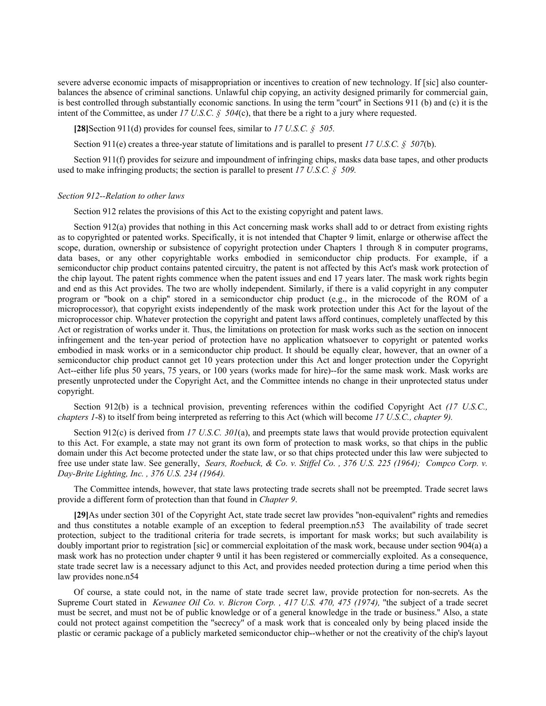severe adverse economic impacts of misappropriation or incentives to creation of new technology. If [sic] also counterbalances the absence of criminal sanctions. Unlawful chip copying, an activity designed primarily for commercial gain, is best controlled through substantially economic sanctions. In using the term ''court'' in Sections 911 (b) and (c) it is the intent of the Committee, as under  $17 \text{ U.S. C.}$  §  $504(c)$ , that there be a right to a jury where requested.

**[28]**Section 911(d) provides for counsel fees, similar to *17 U.S.C. § 505.*

Section 911(e) creates a three-year statute of limitations and is parallel to present *17 U.S.C. § 507*(b).

Section 911(f) provides for seizure and impoundment of infringing chips, masks data base tapes, and other products used to make infringing products; the section is parallel to present *17 U.S.C. § 509.*

### *Section 912--Relation to other laws*

Section 912 relates the provisions of this Act to the existing copyright and patent laws.

Section 912(a) provides that nothing in this Act concerning mask works shall add to or detract from existing rights as to copyrighted or patented works. Specifically, it is not intended that Chapter 9 limit, enlarge or otherwise affect the scope, duration, ownership or subsistence of copyright protection under Chapters 1 through 8 in computer programs, data bases, or any other copyrightable works embodied in semiconductor chip products. For example, if a semiconductor chip product contains patented circuitry, the patent is not affected by this Act's mask work protection of the chip layout. The patent rights commence when the patent issues and end 17 years later. The mask work rights begin and end as this Act provides. The two are wholly independent. Similarly, if there is a valid copyright in any computer program or ''book on a chip'' stored in a semiconductor chip product (e.g., in the microcode of the ROM of a microprocessor), that copyright exists independently of the mask work protection under this Act for the layout of the microprocessor chip. Whatever protection the copyright and patent laws afford continues, completely unaffected by this Act or registration of works under it. Thus, the limitations on protection for mask works such as the section on innocent infringement and the ten-year period of protection have no application whatsoever to copyright or patented works embodied in mask works or in a semiconductor chip product. It should be equally clear, however, that an owner of a semiconductor chip product cannot get 10 years protection under this Act and longer protection under the Copyright Act--either life plus 50 years, 75 years, or 100 years (works made for hire)--for the same mask work. Mask works are presently unprotected under the Copyright Act, and the Committee intends no change in their unprotected status under copyright.

Section 912(b) is a technical provision, preventing references within the codified Copyright Act *(17 U.S.C., chapters 1*-8) to itself from being interpreted as referring to this Act (which will become *17 U.S.C., chapter 9).*

Section 912(c) is derived from *17 U.S.C. 301*(a), and preempts state laws that would provide protection equivalent to this Act. For example, a state may not grant its own form of protection to mask works, so that chips in the public domain under this Act become protected under the state law, or so that chips protected under this law were subjected to free use under state law. See generally, *Sears, Roebuck, & Co. v. Stiffel Co. , 376 U.S. 225 (1964); Compco Corp. v. Day-Brite Lighting, Inc. , 376 U.S. 234 (1964).*

The Committee intends, however, that state laws protecting trade secrets shall not be preempted. Trade secret laws provide a different form of protection than that found in *Chapter 9*.

**[29]**As under section 301 of the Copyright Act, state trade secret law provides ''non-equivalent'' rights and remedies and thus constitutes a notable example of an exception to federal preemption.n53 The availability of trade secret protection, subject to the traditional criteria for trade secrets, is important for mask works; but such availability is doubly important prior to registration [sic] or commercial exploitation of the mask work, because under section 904(a) a mask work has no protection under chapter 9 until it has been registered or commercially exploited. As a consequence, state trade secret law is a necessary adjunct to this Act, and provides needed protection during a time period when this law provides none.n54

Of course, a state could not, in the name of state trade secret law, provide protection for non-secrets. As the Supreme Court stated in *Kewanee Oil Co. v. Bicron Corp. , 417 U.S. 470, 475 (1974),* ''the subject of a trade secret must be secret, and must not be of public knowledge or of a general knowledge in the trade or business.'' Also, a state could not protect against competition the ''secrecy'' of a mask work that is concealed only by being placed inside the plastic or ceramic package of a publicly marketed semiconductor chip--whether or not the creativity of the chip's layout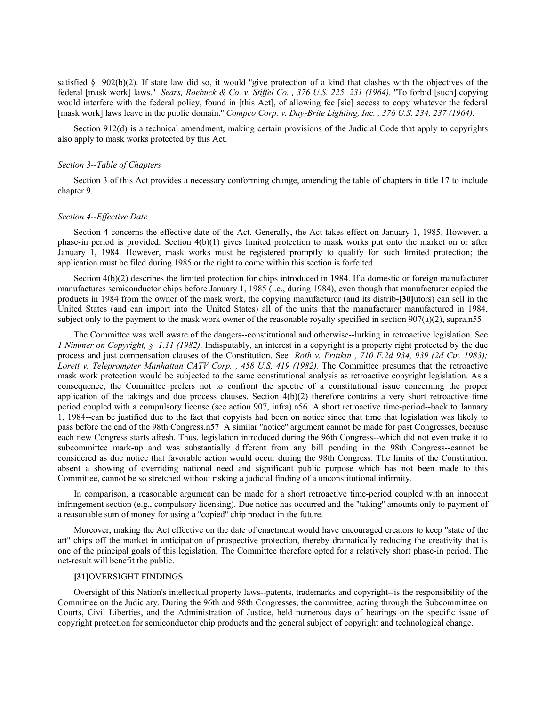satisfied  $\S$  902(b)(2). If state law did so, it would "give protection of a kind that clashes with the objectives of the federal [mask work] laws.'' *Sears, Roebuck & Co. v. Stiffel Co. , 376 U.S. 225, 231 (1964).* ''To forbid [such] copying would interfere with the federal policy, found in [this Act], of allowing fee [sic] access to copy whatever the federal [mask work] laws leave in the public domain." *Compco Corp. v. Day-Brite Lighting, Inc.*, 376 U.S. 234, 237 (1964).

Section 912(d) is a technical amendment, making certain provisions of the Judicial Code that apply to copyrights also apply to mask works protected by this Act.

#### *Section 3--Table of Chapters*

Section 3 of this Act provides a necessary conforming change, amending the table of chapters in title 17 to include chapter 9.

### *Section 4--Effective Date*

Section 4 concerns the effective date of the Act. Generally, the Act takes effect on January 1, 1985. However, a phase-in period is provided. Section 4(b)(1) gives limited protection to mask works put onto the market on or after January 1, 1984. However, mask works must be registered promptly to qualify for such limited protection; the application must be filed during 1985 or the right to come within this section is forfeited.

Section  $4(b)(2)$  describes the limited protection for chips introduced in 1984. If a domestic or foreign manufacturer manufactures semiconductor chips before January 1, 1985 (i.e., during 1984), even though that manufacturer copied the products in 1984 from the owner of the mask work, the copying manufacturer (and its distrib-**[30]**utors) can sell in the United States (and can import into the United States) all of the units that the manufacturer manufactured in 1984, subject only to the payment to the mask work owner of the reasonable royalty specified in section 907(a)(2), supra.n55

The Committee was well aware of the dangers--constitutional and otherwise--lurking in retroactive legislation. See *1 Nimmer on Copyright, § 1.11 (1982)*. Indisputably, an interest in a copyright is a property right protected by the due process and just compensation clauses of the Constitution. See *Roth v. Pritikin , 710 F.2d 934, 939 (2d Cir. 1983); Lorett v. Teleprompter Manhattan CATV Corp. , 458 U.S. 419 (1982).* The Committee presumes that the retroactive mask work protection would be subjected to the same constitutional analysis as retroactive copyright legislation. As a consequence, the Committee prefers not to confront the spectre of a constitutional issue concerning the proper application of the takings and due process clauses. Section  $4(b)(2)$  therefore contains a very short retroactive time period coupled with a compulsory license (see action 907, infra).n56 A short retroactive time-period--back to January 1, 1984--can be justified due to the fact that copyists had been on notice since that time that legislation was likely to pass before the end of the 98th Congress.n57 A similar ''notice'' argument cannot be made for past Congresses, because each new Congress starts afresh. Thus, legislation introduced during the 96th Congress--which did not even make it to subcommittee mark-up and was substantially different from any bill pending in the 98th Congress--cannot be considered as due notice that favorable action would occur during the 98th Congress. The limits of the Constitution, absent a showing of overriding national need and significant public purpose which has not been made to this Committee, cannot be so stretched without risking a judicial finding of a unconstitutional infirmity.

In comparison, a reasonable argument can be made for a short retroactive time-period coupled with an innocent infringement section (e.g., compulsory licensing). Due notice has occurred and the ''taking'' amounts only to payment of a reasonable sum of money for using a ''copied'' chip product in the future.

Moreover, making the Act effective on the date of enactment would have encouraged creators to keep "state of the art'' chips off the market in anticipation of prospective protection, thereby dramatically reducing the creativity that is one of the principal goals of this legislation. The Committee therefore opted for a relatively short phase-in period. The net-result will benefit the public.

## **[31]**OVERSIGHT FINDINGS

Oversight of this Nation's intellectual property laws--patents, trademarks and copyright--is the responsibility of the Committee on the Judiciary. During the 96th and 98th Congresses, the committee, acting through the Subcommittee on Courts, Civil Liberties, and the Administration of Justice, held numerous days of hearings on the specific issue of copyright protection for semiconductor chip products and the general subject of copyright and technological change.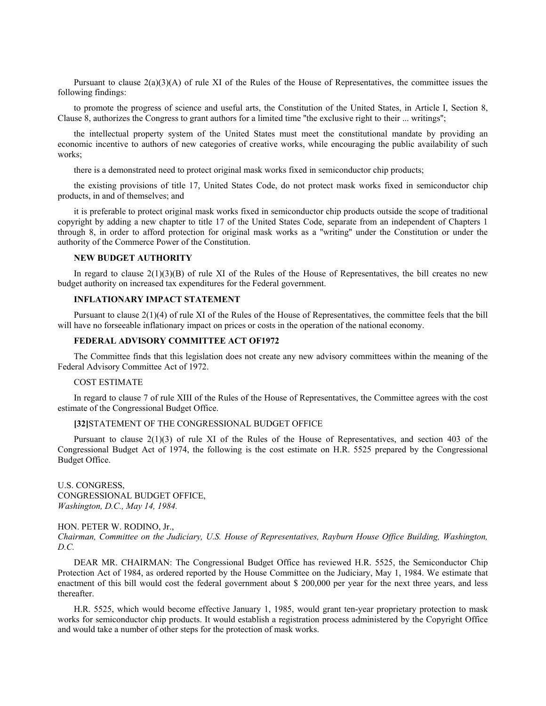Pursuant to clause  $2(a)(3)(A)$  of rule XI of the Rules of the House of Representatives, the committee issues the following findings:

to promote the progress of science and useful arts, the Constitution of the United States, in Article I, Section 8, Clause 8, authorizes the Congress to grant authors for a limited time ''the exclusive right to their ... writings'';

the intellectual property system of the United States must meet the constitutional mandate by providing an economic incentive to authors of new categories of creative works, while encouraging the public availability of such works;

there is a demonstrated need to protect original mask works fixed in semiconductor chip products;

the existing provisions of title 17, United States Code, do not protect mask works fixed in semiconductor chip products, in and of themselves; and

it is preferable to protect original mask works fixed in semiconductor chip products outside the scope of traditional copyright by adding a new chapter to title 17 of the United States Code, separate from an independent of Chapters 1 through 8, in order to afford protection for original mask works as a ''writing'' under the Constitution or under the authority of the Commerce Power of the Constitution.

## **NEW BUDGET AUTHORITY**

In regard to clause  $2(1)(3)(B)$  of rule XI of the Rules of the House of Representatives, the bill creates no new budget authority on increased tax expenditures for the Federal government.

# **INFLATIONARY IMPACT STATEMENT**

Pursuant to clause 2(1)(4) of rule XI of the Rules of the House of Representatives, the committee feels that the bill will have no forseeable inflationary impact on prices or costs in the operation of the national economy.

# **FEDERAL ADVISORY COMMITTEE ACT OF1972**

The Committee finds that this legislation does not create any new advisory committees within the meaning of the Federal Advisory Committee Act of 1972.

# COST ESTIMATE

In regard to clause 7 of rule XIII of the Rules of the House of Representatives, the Committee agrees with the cost estimate of the Congressional Budget Office.

#### **[32]**STATEMENT OF THE CONGRESSIONAL BUDGET OFFICE

Pursuant to clause 2(1)(3) of rule XI of the Rules of the House of Representatives, and section 403 of the Congressional Budget Act of 1974, the following is the cost estimate on H.R. 5525 prepared by the Congressional Budget Office.

U.S. CONGRESS, CONGRESSIONAL BUDGET OFFICE, *Washington, D.C., May 14, 1984.*

HON. PETER W. RODINO, Jr.,

*Chairman, Committee on the Judiciary, U.S. House of Representatives, Rayburn House Office Building, Washington, D.C.*

DEAR MR. CHAIRMAN: The Congressional Budget Office has reviewed H.R. 5525, the Semiconductor Chip Protection Act of 1984, as ordered reported by the House Committee on the Judiciary, May 1, 1984. We estimate that enactment of this bill would cost the federal government about \$ 200,000 per year for the next three years, and less thereafter.

H.R. 5525, which would become effective January 1, 1985, would grant ten-year proprietary protection to mask works for semiconductor chip products. It would establish a registration process administered by the Copyright Office and would take a number of other steps for the protection of mask works.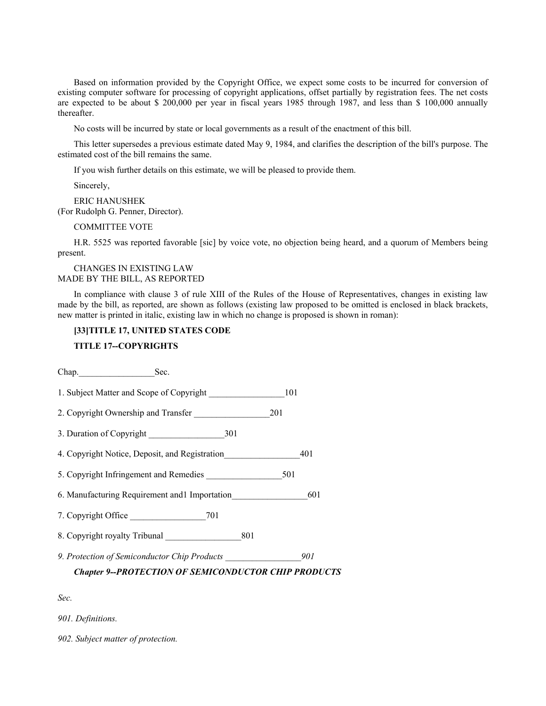Based on information provided by the Copyright Office, we expect some costs to be incurred for conversion of existing computer software for processing of copyright applications, offset partially by registration fees. The net costs are expected to be about \$ 200,000 per year in fiscal years 1985 through 1987, and less than \$ 100,000 annually thereafter.

No costs will be incurred by state or local governments as a result of the enactment of this bill.

This letter supersedes a previous estimate dated May 9, 1984, and clarifies the description of the bill's purpose. The estimated cost of the bill remains the same.

If you wish further details on this estimate, we will be pleased to provide them.

Sincerely,

ERIC HANUSHEK (For Rudolph G. Penner, Director).

COMMITTEE VOTE

H.R. 5525 was reported favorable [sic] by voice vote, no objection being heard, and a quorum of Members being present.

#### CHANGES IN EXISTING LAW MADE BY THE BILL, AS REPORTED

In compliance with clause 3 of rule XIII of the Rules of the House of Representatives, changes in existing law made by the bill, as reported, are shown as follows (existing law proposed to be omitted is enclosed in black brackets, new matter is printed in italic, existing law in which no change is proposed is shown in roman):

# **[33]TITLE 17, UNITED STATES CODE**

### **TITLE 17--COPYRIGHTS**

Chap. Sec.

1. Subject Matter and Scope of Copyright 101

2. Copyright Ownership and Transfer 201

3. Duration of Copyright \_\_\_\_\_\_\_\_\_\_\_\_\_\_\_\_\_301

4. Copyright Notice, Deposit, and Registration 401

5. Copyright Infringement and Remedies  $501$ 

6. Manufacturing Requirement and1 Importation\_\_\_\_\_\_\_\_\_\_\_\_\_\_\_\_\_601

7. Copyright Office 201

8. Copyright royalty Tribunal 201

*9. Protection of Semiconductor Chip Products \_\_\_\_\_\_\_\_\_\_\_\_\_\_\_\_\_901*

*Chapter 9--PROTECTION OF SEMICONDUCTOR CHIP PRODUCTS*

*Sec.*

*901. Definitions.*

*902. Subject matter of protection.*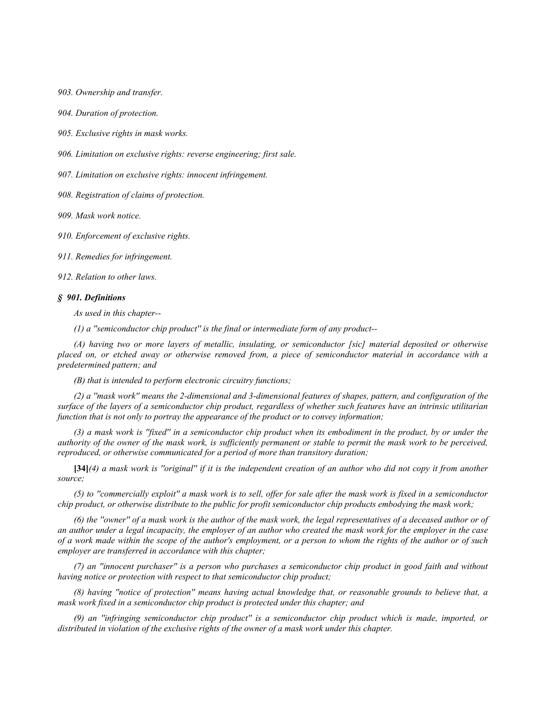*903. Ownership and transfer.*

*904. Duration of protection.*

*905. Exclusive rights in mask works.*

*906. Limitation on exclusive rights: reverse engineering; first sale.*

*907. Limitation on exclusive rights: innocent infringement.*

*908. Registration of claims of protection.*

*909. Mask work notice.*

*910. Enforcement of exclusive rights.*

*911. Remedies for infringement.*

*912. Relation to other laws.*

#### *§ 901. Definitions*

*As used in this chapter--*

*(1) a ''semiconductor chip product'' is the final or intermediate form of any product--*

*(A) having two or more layers of metallic, insulating, or semiconductor [sic] material deposited or otherwise placed on, or etched away or otherwise removed from, a piece of semiconductor material in accordance with a predetermined pattern; and*

*(B) that is intended to perform electronic circuitry functions;*

*(2) a ''mask work'' means the 2-dimensional and 3-dimensional features of shapes, pattern, and configuration of the surface of the layers of a semiconductor chip product, regardless of whether such features have an intrinsic utilitarian function that is not only to portray the appearance of the product or to convey information;*

*(3) a mask work is ''fixed'' in a semiconductor chip product when its embodiment in the product, by or under the authority of the owner of the mask work, is sufficiently permanent or stable to permit the mask work to be perceived, reproduced, or otherwise communicated for a period of more than transitory duration;*

**[34]***(4) a mask work is ''original'' if it is the independent creation of an author who did not copy it from another source;*

*(5) to ''commercially exploit'' a mask work is to sell, offer for sale after the mask work is fixed in a semiconductor chip product, or otherwise distribute to the public for profit semiconductor chip products embodying the mask work;*

*(6) the ''owner'' of a mask work is the author of the mask work, the legal representatives of a deceased author or of an author under a legal incapacity, the employer of an author who created the mask work for the employer in the case of a work made within the scope of the author's employment, or a person to whom the rights of the author or of such employer are transferred in accordance with this chapter;*

*(7) an ''innocent purchaser'' is a person who purchases a semiconductor chip product in good faith and without having notice or protection with respect to that semiconductor chip product;*

*(8) having ''notice of protection'' means having actual knowledge that, or reasonable grounds to believe that, a mask work fixed in a semiconductor chip product is protected under this chapter; and*

*(9) an ''infringing semiconductor chip product'' is a semiconductor chip product which is made, imported, or distributed in violation of the exclusive rights of the owner of a mask work under this chapter.*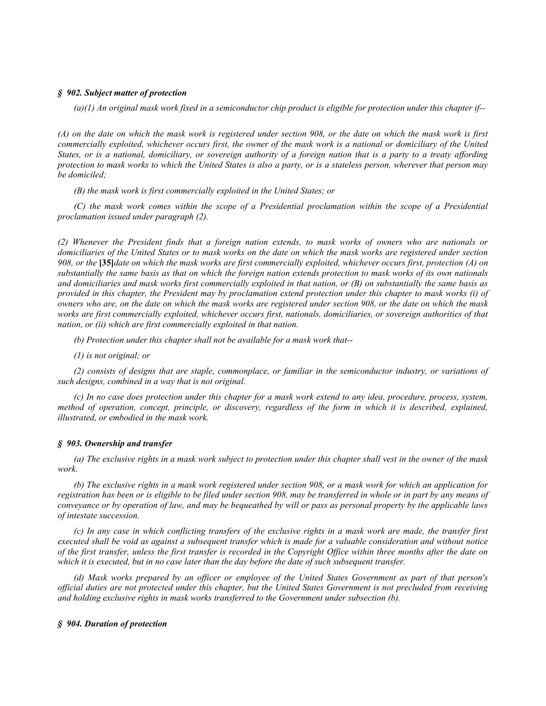### *§ 902. Subject matter of protection*

*(a)(1) An original mask work fixed in a semiconductor chip product is eligible for protection under this chapter if--*

*(A) on the date on which the mask work is registered under section 908, or the date on which the mask work is first commercially exploited, whichever occurs first, the owner of the mask work is a national or domiciliary of the United States, or is a national, domiciliary, or sovereign authority of a foreign nation that is a party to a treaty affording protection to mask works to which the United States is also a party, or is a stateless person, wherever that person may be domiciled;*

*(B) the mask work is first commercially exploited in the United States; or*

*(C) the mask work comes within the scope of a Presidential proclamation within the scope of a Presidential proclamation issued under paragraph (2).*

*(2) Whenever the President finds that a foreign nation extends, to mask works of owners who are nationals or domiciliaries of the United States or to mask works on the date on which the mask works are registered under section 908, or the* **[35]***date on which the mask works are first commercially exploited, whichever occurs first, protection (A) on substantially the same basis as that on which the foreign nation extends protection to mask works of its own nationals and domiciliaries and mask works first commercially exploited in that nation, or (B) on substantially the same basis as provided in this chapter, the President may by proclamation extend protection under this chapter to mask works (i) of owners who are, on the date on which the mask works are registered under section 908, or the date on which the mask works are first commercially exploited, whichever occurs first, nationals, domiciliaries, or sovereign authorities of that nation, or (ii) which are first commercially exploited in that nation.*

*(b) Protection under this chapter shall not be available for a mask work that--*

*(1) is not original; or*

*(2) consists of designs that are staple, commonplace, or familiar in the semiconductor industry, or variations of such designs, combined in a way that is not original.*

*(c) In no case does protection under this chapter for a mask work extend to any idea, procedure, process, system, method of operation, concept, principle, or discovery, regardless of the form in which it is described, explained, illustrated, or embodied in the mask work.*

#### *§ 903. Ownership and transfer*

*(a) The exclusive rights in a mask work subject to protection under this chapter shall vest in the owner of the mask work.*

*(b) The exclusive rights in a mask work registered under section 908, or a mask work for which an application for registration has been or is eligible to be filed under section 908, may be transferred in whole or in part by any means of conveyance or by operation of law, and may be bequeathed by will or pass as personal property by the applicable laws of intestate succession.*

*(c) In any case in which conflicting transfers of the exclusive rights in a mask work are made, the transfer first executed shall be void as against a subsequent transfer which is made for a valuable consideration and without notice of the first transfer, unless the first transfer is recorded in the Copyright Office within three months after the date on which it is executed, but in no case later than the day before the date of such subsequent transfer.*

*(d) Mask works prepared by an officer or employee of the United States Government as part of that person's official duties are not protected under this chapter, but the United States Government is not precluded from receiving and holding exclusive rights in mask works transferred to the Government under subsection (b).*

#### *§ 904. Duration of protection*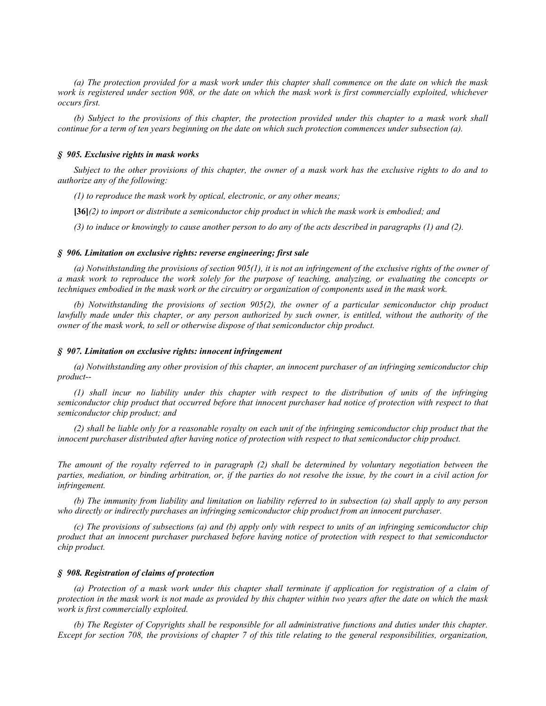*(a) The protection provided for a mask work under this chapter shall commence on the date on which the mask work is registered under section 908, or the date on which the mask work is first commercially exploited, whichever occurs first.*

*(b) Subject to the provisions of this chapter, the protection provided under this chapter to a mask work shall continue for a term of ten years beginning on the date on which such protection commences under subsection (a).*

#### *§ 905. Exclusive rights in mask works*

*Subject to the other provisions of this chapter, the owner of a mask work has the exclusive rights to do and to authorize any of the following:*

*(1) to reproduce the mask work by optical, electronic, or any other means;*

**[36]***(2) to import or distribute a semiconductor chip product in which the mask work is embodied; and*

*(3) to induce or knowingly to cause another person to do any of the acts described in paragraphs (1) and (2).*

#### *§ 906. Limitation on exclusive rights: reverse engineering; first sale*

*(a) Notwithstanding the provisions of section 905(1), it is not an infringement of the exclusive rights of the owner of a mask work to reproduce the work solely for the purpose of teaching, analyzing, or evaluating the concepts or techniques embodied in the mask work or the circuitry or organization of components used in the mask work.*

*(b) Notwithstanding the provisions of section 905(2), the owner of a particular semiconductor chip product lawfully made under this chapter, or any person authorized by such owner, is entitled, without the authority of the owner of the mask work, to sell or otherwise dispose of that semiconductor chip product.*

#### *§ 907. Limitation on exclusive rights: innocent infringement*

*(a) Notwithstanding any other provision of this chapter, an innocent purchaser of an infringing semiconductor chip product--*

*(1) shall incur no liability under this chapter with respect to the distribution of units of the infringing semiconductor chip product that occurred before that innocent purchaser had notice of protection with respect to that semiconductor chip product; and*

*(2) shall be liable only for a reasonable royalty on each unit of the infringing semiconductor chip product that the innocent purchaser distributed after having notice of protection with respect to that semiconductor chip product.*

*The amount of the royalty referred to in paragraph (2) shall be determined by voluntary negotiation between the parties, mediation, or binding arbitration, or, if the parties do not resolve the issue, by the court in a civil action for infringement.*

*(b) The immunity from liability and limitation on liability referred to in subsection (a) shall apply to any person who directly or indirectly purchases an infringing semiconductor chip product from an innocent purchaser.*

*(c) The provisions of subsections (a) and (b) apply only with respect to units of an infringing semiconductor chip product that an innocent purchaser purchased before having notice of protection with respect to that semiconductor chip product.*

### *§ 908. Registration of claims of protection*

*(a) Protection of a mask work under this chapter shall terminate if application for registration of a claim of protection in the mask work is not made as provided by this chapter within two years after the date on which the mask work is first commercially exploited.*

*(b) The Register of Copyrights shall be responsible for all administrative functions and duties under this chapter. Except for section 708, the provisions of chapter 7 of this title relating to the general responsibilities, organization,*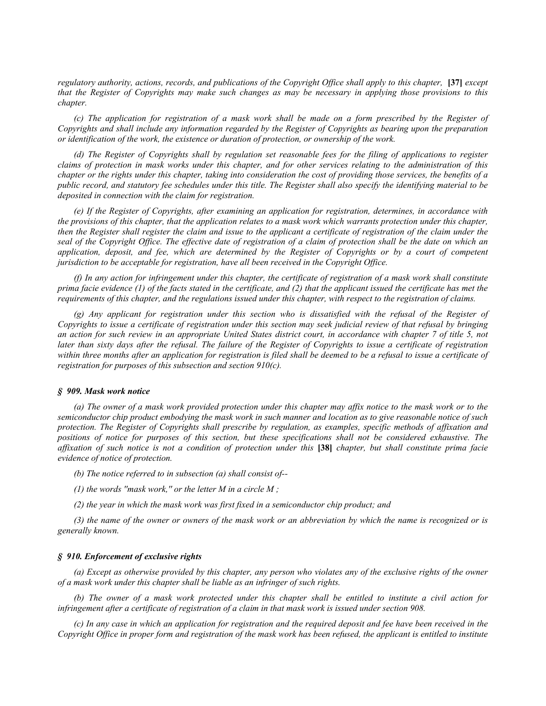*regulatory authority, actions, records, and publications of the Copyright Office shall apply to this chapter,* [37] *except that the Register of Copyrights may make such changes as may be necessary in applying those provisions to this chapter.*

*(c) The application for registration of a mask work shall be made on a form prescribed by the Register of Copyrights and shall include any information regarded by the Register of Copyrights as bearing upon the preparation or identification of the work, the existence or duration of protection, or ownership of the work.*

*(d) The Register of Copyrights shall by regulation set reasonable fees for the filing of applications to register claims of protection in mask works under this chapter, and for other services relating to the administration of this chapter or the rights under this chapter, taking into consideration the cost of providing those services, the benefits of a public record, and statutory fee schedules under this title. The Register shall also specify the identifying material to be deposited in connection with the claim for registration.*

*(e) If the Register of Copyrights, after examining an application for registration, determines, in accordance with the provisions of this chapter, that the application relates to a mask work which warrants protection under this chapter, then the Register shall register the claim and issue to the applicant a certificate of registration of the claim under the seal of the Copyright Office. The effective date of registration of a claim of protection shall be the date on which an application, deposit, and fee, which are determined by the Register of Copyrights or by a court of competent jurisdiction to be acceptable for registration, have all been received in the Copyright Office.*

*(f) In any action for infringement under this chapter, the certificate of registration of a mask work shall constitute prima facie evidence (1) of the facts stated in the certificate, and (2) that the applicant issued the certificate has met the requirements of this chapter, and the regulations issued under this chapter, with respect to the registration of claims.*

*(g) Any applicant for registration under this section who is dissatisfied with the refusal of the Register of Copyrights to issue a certificate of registration under this section may seek judicial review of that refusal by bringing an action for such review in an appropriate United States district court, in accordance with chapter 7 of title 5, not later than sixty days after the refusal. The failure of the Register of Copyrights to issue a certificate of registration*  within three months after an application for registration is filed shall be deemed to be a refusal to issue a certificate of *registration for purposes of this subsection and section 910(c).*

## *§ 909. Mask work notice*

*(a) The owner of a mask work provided protection under this chapter may affix notice to the mask work or to the semiconductor chip product embodying the mask work in such manner and location as to give reasonable notice of such protection. The Register of Copyrights shall prescribe by regulation, as examples, specific methods of affixation and positions of notice for purposes of this section, but these specifications shall not be considered exhaustive. The affixation of such notice is not a condition of protection under this* **[38]** *chapter, but shall constitute prima facie evidence of notice of protection.*

*(b) The notice referred to in subsection (a) shall consist of--*

*(1) the words ''mask work,'' or the letter M in a circle M ;*

*(2) the year in which the mask work was first fixed in a semiconductor chip product; and*

*(3) the name of the owner or owners of the mask work or an abbreviation by which the name is recognized or is generally known.*

## *§ 910. Enforcement of exclusive rights*

*(a) Except as otherwise provided by this chapter, any person who violates any of the exclusive rights of the owner of a mask work under this chapter shall be liable as an infringer of such rights.*

*(b) The owner of a mask work protected under this chapter shall be entitled to institute a civil action for infringement after a certificate of registration of a claim in that mask work is issued under section 908.*

*(c) In any case in which an application for registration and the required deposit and fee have been received in the Copyright Office in proper form and registration of the mask work has been refused, the applicant is entitled to institute*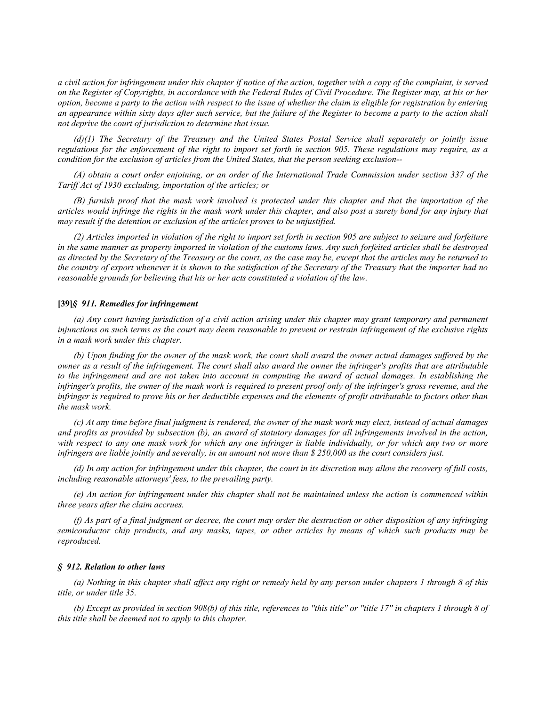*a civil action for infringement under this chapter if notice of the action, together with a copy of the complaint, is served on the Register of Copyrights, in accordance with the Federal Rules of Civil Procedure. The Register may, at his or her option, become a party to the action with respect to the issue of whether the claim is eligible for registration by entering an appearance within sixty days after such service, but the failure of the Register to become a party to the action shall not deprive the court of jurisdiction to determine that issue.*

*(d)(1) The Secretary of the Treasury and the United States Postal Service shall separately or jointly issue regulations for the enforcement of the right to import set forth in section 905. These regulations may require, as a condition for the exclusion of articles from the United States, that the person seeking exclusion--*

*(A) obtain a court order enjoining, or an order of the International Trade Commission under section 337 of the Tariff Act of 1930 excluding, importation of the articles; or*

*(B) furnish proof that the mask work involved is protected under this chapter and that the importation of the articles would infringe the rights in the mask work under this chapter, and also post a surety bond for any injury that may result if the detention or exclusion of the articles proves to be unjustified.*

*(2) Articles imported in violation of the right to import set forth in section 905 are subject to seizure and forfeiture in the same manner as property imported in violation of the customs laws. Any such forfeited articles shall be destroyed as directed by the Secretary of the Treasury or the court, as the case may be, except that the articles may be returned to the country of export whenever it is shown to the satisfaction of the Secretary of the Treasury that the importer had no reasonable grounds for believing that his or her acts constituted a violation of the law.*

### **[39]***§ 911. Remedies for infringement*

*(a) Any court having jurisdiction of a civil action arising under this chapter may grant temporary and permanent injunctions on such terms as the court may deem reasonable to prevent or restrain infringement of the exclusive rights in a mask work under this chapter.*

*(b) Upon finding for the owner of the mask work, the court shall award the owner actual damages suffered by the owner as a result of the infringement. The court shall also award the owner the infringer's profits that are attributable to the infringement and are not taken into account in computing the award of actual damages. In establishing the infringer's profits, the owner of the mask work is required to present proof only of the infringer's gross revenue, and the infringer is required to prove his or her deductible expenses and the elements of profit attributable to factors other than the mask work.*

*(c) At any time before final judgment is rendered, the owner of the mask work may elect, instead of actual damages and profits as provided by subsection (b), an award of statutory damages for all infringements involved in the action, with respect to any one mask work for which any one infringer is liable individually, or for which any two or more infringers are liable jointly and severally, in an amount not more than \$ 250,000 as the court considers just.*

*(d) In any action for infringement under this chapter, the court in its discretion may allow the recovery of full costs, including reasonable attorneys' fees, to the prevailing party.*

*(e) An action for infringement under this chapter shall not be maintained unless the action is commenced within three years after the claim accrues.*

*(f) As part of a final judgment or decree, the court may order the destruction or other disposition of any infringing semiconductor chip products, and any masks, tapes, or other articles by means of which such products may be reproduced.*

#### *§ 912. Relation to other laws*

*(a) Nothing in this chapter shall affect any right or remedy held by any person under chapters 1 through 8 of this title, or under title 35.*

*(b) Except as provided in section 908(b) of this title, references to ''this title'' or ''title 17'' in chapters 1 through 8 of this title shall be deemed not to apply to this chapter.*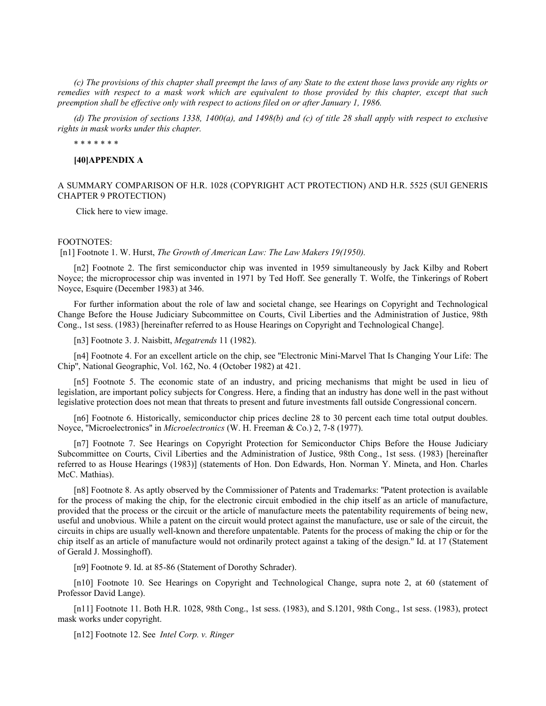*(c) The provisions of this chapter shall preempt the laws of any State to the extent those laws provide any rights or remedies with respect to a mask work which are equivalent to those provided by this chapter, except that such preemption shall be effective only with respect to actions filed on or after January 1, 1986.*

*(d) The provision of sections 1338, 1400(a), and 1498(b) and (c) of title 28 shall apply with respect to exclusive rights in mask works under this chapter.*

\* \* \* \* \* \* \*

### **[40]APPENDIX A**

# A SUMMARY COMPARISON OF H.R. 1028 (COPYRIGHT ACT PROTECTION) AND H.R. 5525 (SUI GENERIS CHAPTER 9 PROTECTION)

Click here to view image.

#### FOOTNOTES:

[n1] Footnote 1. W. Hurst, *The Growth of American Law: The Law Makers 19(1950).*

[n2] Footnote 2. The first semiconductor chip was invented in 1959 simultaneously by Jack Kilby and Robert Noyce; the microprocessor chip was invented in 1971 by Ted Hoff. See generally T. Wolfe, the Tinkerings of Robert Noyce, Esquire (December 1983) at 346.

For further information about the role of law and societal change, see Hearings on Copyright and Technological Change Before the House Judiciary Subcommittee on Courts, Civil Liberties and the Administration of Justice, 98th Cong., 1st sess. (1983) [hereinafter referred to as House Hearings on Copyright and Technological Change].

[n3] Footnote 3. J. Naisbitt, *Megatrends* 11 (1982).

[n4] Footnote 4. For an excellent article on the chip, see ''Electronic Mini-Marvel That Is Changing Your Life: The Chip'', National Geographic, Vol. 162, No. 4 (October 1982) at 421.

[n5] Footnote 5. The economic state of an industry, and pricing mechanisms that might be used in lieu of legislation, are important policy subjects for Congress. Here, a finding that an industry has done well in the past without legislative protection does not mean that threats to present and future investments fall outside Congressional concern.

[n6] Footnote 6. Historically, semiconductor chip prices decline 28 to 30 percent each time total output doubles. Noyce, ''Microelectronics'' in *Microelectronics* (W. H. Freeman & Co.) 2, 7-8 (1977).

[n7] Footnote 7. See Hearings on Copyright Protection for Semiconductor Chips Before the House Judiciary Subcommittee on Courts, Civil Liberties and the Administration of Justice, 98th Cong., 1st sess. (1983) [hereinafter referred to as House Hearings (1983)] (statements of Hon. Don Edwards, Hon. Norman Y. Mineta, and Hon. Charles McC. Mathias).

[n8] Footnote 8. As aptly observed by the Commissioner of Patents and Trademarks: ''Patent protection is available for the process of making the chip, for the electronic circuit embodied in the chip itself as an article of manufacture, provided that the process or the circuit or the article of manufacture meets the patentability requirements of being new, useful and unobvious. While a patent on the circuit would protect against the manufacture, use or sale of the circuit, the circuits in chips are usually well-known and therefore unpatentable. Patents for the process of making the chip or for the chip itself as an article of manufacture would not ordinarily protect against a taking of the design.'' Id. at 17 (Statement of Gerald J. Mossinghoff).

[n9] Footnote 9. Id. at 85-86 (Statement of Dorothy Schrader).

[n10] Footnote 10. See Hearings on Copyright and Technological Change, supra note 2, at 60 (statement of Professor David Lange).

[n11] Footnote 11. Both H.R. 1028, 98th Cong., 1st sess. (1983), and S.1201, 98th Cong., 1st sess. (1983), protect mask works under copyright.

[n12] Footnote 12. See *Intel Corp. v. Ringer*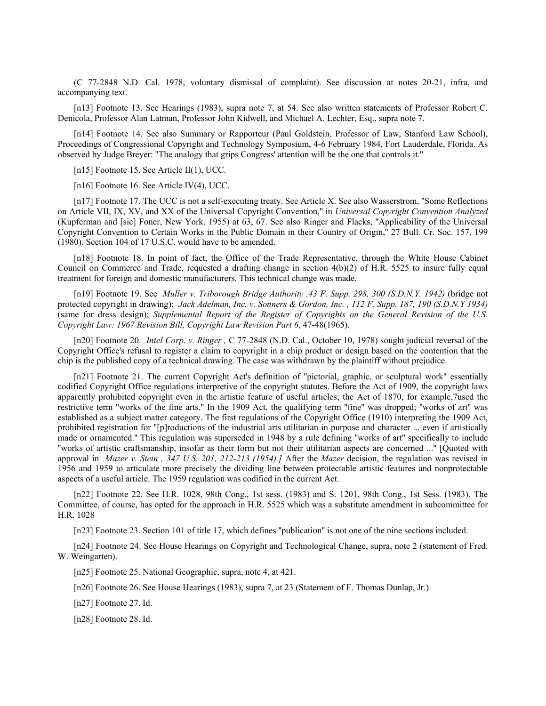(C 77-2848 N.D. Cal. 1978, voluntary dismissal of complaint). See discussion at notes 20-21, infra, and accompanying text.

[n13] Footnote 13. See Hearings (1983), supra note 7, at 54. See also written statements of Professor Robert C. Denicola, Professor Alan Latman, Professor John Kidwell, and Michael A. Lechter, Esq., supra note 7.

[n14] Footnote 14. See also Summary or Rapporteur (Paul Goldstein, Professor of Law, Stanford Law School), Proceedings of Congressional Copyright and Technology Symposium, 4-6 February 1984, Fort Lauderdale, Florida. As observed by Judge Breyer: ''The analogy that grips Congress' attention will be the one that controls it.''

[n15] Footnote 15. See Article II(1), UCC.

[n16] Footnote 16. See Article IV(4), UCC.

[n17] Footnote 17. The UCC is not a self-executing treaty. See Article X. See also Wasserstrom, "Some Reflections on Article VII, IX, XV, and XX of the Universal Copyright Convention,'' in *Universal Copyright Convention Analyzed* (Kupferman and [sic] Foner, New York, 1955) at 63, 67. See also Ringer and Flacks, ''Applicability of the Universal Copyright Convention to Certain Works in the Public Domain in their Country of Origin,'' 27 Bull. Cr. Soc. 157, 199 (1980). Section 104 of 17 U.S.C. would have to be amended.

[n18] Footnote 18. In point of fact, the Office of the Trade Representative, through the White House Cabinet Council on Commerce and Trade, requested a drafting change in section 4(b)(2) of H.R. 5525 to insure fully equal treatment for foreign and domestic manufacturers. This technical change was made.

[n19] Footnote 19. See *Muller v. Triborough Bridge Authority ,43 F. Supp. 298, 300 (S.D.N.Y. 1942)* (bridge not protected copyright in drawing); *Jack Adelman, Inc. v. Sonners & Gordon, Inc. , 112 F. Supp. 187, 190 (S.D.N.Y 1934)* (same for dress design); *Supplemental Report of the Register of Copyrights on the General Revision of the U.S. Copyright Law: 1967 Revision Bill, Copyright Law Revision Part 6*, 47-48(1965).

[n20] Footnote 20. *Intel Corp. v. Ringer ,* C 77-2848 (N.D. Cal., October 10, 1978) sought judicial reversal of the Copyright Office's refusal to register a claim to copyright in a chip product or design based on the contention that the chip is the published copy of a technical drawing. The case was withdrawn by the plaintiff without prejudice.

[n21] Footnote 21. The current Copyright Act's definition of ''pictorial, graphic, or sculptural work'' essentially codified Copyright Office regulations interpretive of the copyright statutes. Before the Act of 1909, the copyright laws apparently prohibited copyright even in the artistic feature of useful articles; the Act of 1870, for example,7used the restrictive term ''works of the fine arts.'' In the 1909 Act, the qualifying term ''fine'' was dropped; ''works of art'' was established as a subject matter category. The first regulations of the Copyright Office (1910) interpreting the 1909 Act, prohibited registration for ''[p]roductions of the industrial arts utilitarian in purpose and character ... even if artistically made or ornamented.'' This regulation was superseded in 1948 by a rule defining ''works of art'' specifically to include ''works of artistic craftsmanship, insofar as their form but not their utilitarian aspects are concerned ...'' [Quoted with approval in *Mazer v. Stein , 347 U.S. 201, 212-213 (1954).]* After the *Mazer* decision, the regulation was revised in 1956 and 1959 to articulate more precisely the dividing line between protectable artistic features and nonprotectable aspects of a useful article. The 1959 regulation was codified in the current Act.

[n22] Footnote 22. See H.R. 1028, 98th Cong., 1st sess. (1983) and S. 1201, 98th Cong., 1st Sess. (1983). The Committee, of course, has opted for the approach in H.R. 5525 which was a substitute amendment in subcommittee for H.R. 1028

[n23] Footnote 23. Section 101 of title 17, which defines "publication" is not one of the nine sections included.

[n24] Footnote 24. See House Hearings on Copyright and Technological Change, supra, note 2 (statement of Fred. W. Weingarten).

[n25] Footnote 25. National Geographic, supra, note 4, at 421.

[n26] Footnote 26. See House Hearings (1983), supra 7, at 23 (Statement of F. Thomas Dunlap, Jr.).

[n27] Footnote 27. Id.

[n28] Footnote 28. Id.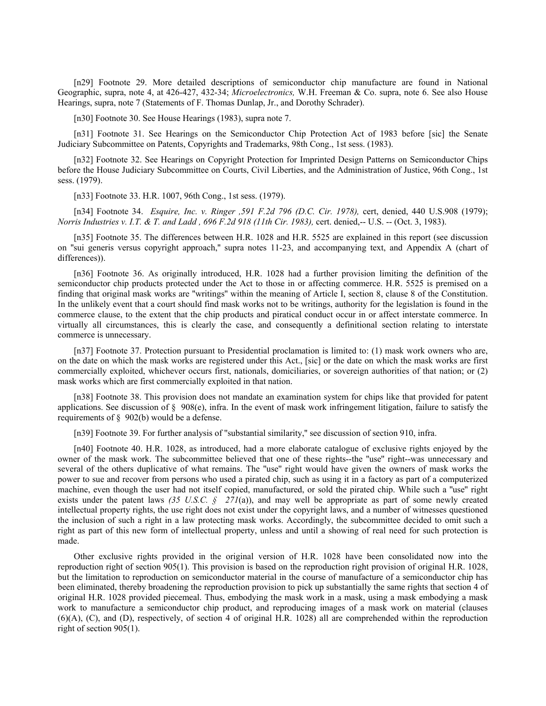[n29] Footnote 29. More detailed descriptions of semiconductor chip manufacture are found in National Geographic, supra, note 4, at 426-427, 432-34; *Microelectronics,* W.H. Freeman & Co. supra, note 6. See also House Hearings, supra, note 7 (Statements of F. Thomas Dunlap, Jr., and Dorothy Schrader).

[n30] Footnote 30. See House Hearings (1983), supra note 7.

[n31] Footnote 31. See Hearings on the Semiconductor Chip Protection Act of 1983 before [sic] the Senate Judiciary Subcommittee on Patents, Copyrights and Trademarks, 98th Cong., 1st sess. (1983).

[n32] Footnote 32. See Hearings on Copyright Protection for Imprinted Design Patterns on Semiconductor Chips before the House Judiciary Subcommittee on Courts, Civil Liberties, and the Administration of Justice, 96th Cong., 1st sess. (1979).

[n33] Footnote 33, H.R. 1007, 96th Cong., 1st sess. (1979).

[n34] Footnote 34. *Esquire, Inc. v. Ringer ,591 F.2d 796 (D.C. Cir. 1978),* cert, denied, 440 U.S.908 (1979); *Norris Industries v. I.T. & T. and Ladd , 696 F.2d 918 (11th Cir. 1983),* cert. denied,-- U.S. -- (Oct. 3, 1983).

[n35] Footnote 35. The differences between H.R. 1028 and H.R. 5525 are explained in this report (see discussion on ''sui generis versus copyright approach,'' supra notes 11-23, and accompanying text, and Appendix A (chart of differences)).

[n36] Footnote 36. As originally introduced, H.R. 1028 had a further provision limiting the definition of the semiconductor chip products protected under the Act to those in or affecting commerce. H.R. 5525 is premised on a finding that original mask works are ''writings'' within the meaning of Article I, section 8, clause 8 of the Constitution. In the unlikely event that a court should find mask works not to be writings, authority for the legislation is found in the commerce clause, to the extent that the chip products and piratical conduct occur in or affect interstate commerce. In virtually all circumstances, this is clearly the case, and consequently a definitional section relating to interstate commerce is unnecessary.

[n37] Footnote 37. Protection pursuant to Presidential proclamation is limited to: (1) mask work owners who are, on the date on which the mask works are registered under this Act., [sic] or the date on which the mask works are first commercially exploited, whichever occurs first, nationals, domiciliaries, or sovereign authorities of that nation; or (2) mask works which are first commercially exploited in that nation.

[n38] Footnote 38. This provision does not mandate an examination system for chips like that provided for patent applications. See discussion of  $\S$  908(e), infra. In the event of mask work infringement litigation, failure to satisfy the requirements of § 902(b) would be a defense.

[n39] Footnote 39. For further analysis of ''substantial similarity,'' see discussion of section 910, infra.

[n40] Footnote 40. H.R. 1028, as introduced, had a more elaborate catalogue of exclusive rights enjoyed by the owner of the mask work. The subcommittee believed that one of these rights--the ''use'' right--was unnecessary and several of the others duplicative of what remains. The ''use'' right would have given the owners of mask works the power to sue and recover from persons who used a pirated chip, such as using it in a factory as part of a computerized machine, even though the user had not itself copied, manufactured, or sold the pirated chip. While such a ''use'' right exists under the patent laws *(35 U.S.C. § 271*(a)), and may well be appropriate as part of some newly created intellectual property rights, the use right does not exist under the copyright laws, and a number of witnesses questioned the inclusion of such a right in a law protecting mask works. Accordingly, the subcommittee decided to omit such a right as part of this new form of intellectual property, unless and until a showing of real need for such protection is made.

Other exclusive rights provided in the original version of H.R. 1028 have been consolidated now into the reproduction right of section 905(1). This provision is based on the reproduction right provision of original H.R. 1028, but the limitation to reproduction on semiconductor material in the course of manufacture of a semiconductor chip has been eliminated, thereby broadening the reproduction provision to pick up substantially the same rights that section 4 of original H.R. 1028 provided piecemeal. Thus, embodying the mask work in a mask, using a mask embodying a mask work to manufacture a semiconductor chip product, and reproducing images of a mask work on material (clauses (6)(A), (C), and (D), respectively, of section 4 of original H.R. 1028) all are comprehended within the reproduction right of section 905(1).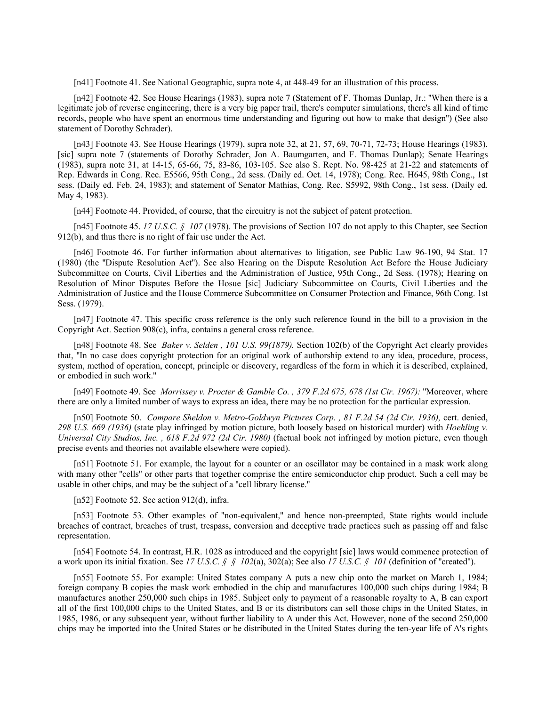[n41] Footnote 41. See National Geographic, supra note 4, at 448-49 for an illustration of this process.

[n42] Footnote 42. See House Hearings (1983), supra note 7 (Statement of F. Thomas Dunlap, Jr.: ''When there is a legitimate job of reverse engineering, there is a very big paper trail, there's computer simulations, there's all kind of time records, people who have spent an enormous time understanding and figuring out how to make that design'') (See also statement of Dorothy Schrader).

[n43] Footnote 43. See House Hearings (1979), supra note 32, at 21, 57, 69, 70-71, 72-73; House Hearings (1983). [sic] supra note 7 (statements of Dorothy Schrader, Jon A. Baumgarten, and F. Thomas Dunlap); Senate Hearings (1983), supra note 31, at 14-15, 65-66, 75, 83-86, 103-105. See also S. Rept. No. 98-425 at 21-22 and statements of Rep. Edwards in Cong. Rec. E5566, 95th Cong., 2d sess. (Daily ed. Oct. 14, 1978); Cong. Rec. H645, 98th Cong., 1st sess. (Daily ed. Feb. 24, 1983); and statement of Senator Mathias, Cong. Rec. S5992, 98th Cong., 1st sess. (Daily ed. May 4, 1983).

[n44] Footnote 44. Provided, of course, that the circuitry is not the subject of patent protection.

[n45] Footnote 45. *17 U.S.C. § 107* (1978). The provisions of Section 107 do not apply to this Chapter, see Section 912(b), and thus there is no right of fair use under the Act.

[n46] Footnote 46. For further information about alternatives to litigation, see Public Law 96-190, 94 Stat. 17 (1980) (the ''Dispute Resolution Act''). See also Hearing on the Dispute Resolution Act Before the House Judiciary Subcommittee on Courts, Civil Liberties and the Administration of Justice, 95th Cong., 2d Sess. (1978); Hearing on Resolution of Minor Disputes Before the Hosue [sic] Judiciary Subcommittee on Courts, Civil Liberties and the Administration of Justice and the House Commerce Subcommittee on Consumer Protection and Finance, 96th Cong. 1st Sess. (1979).

[n47] Footnote 47. This specific cross reference is the only such reference found in the bill to a provision in the Copyright Act. Section 908(c), infra, contains a general cross reference.

[n48] Footnote 48. See *Baker v. Selden , 101 U.S. 99(1879).* Section 102(b) of the Copyright Act clearly provides that, ''In no case does copyright protection for an original work of authorship extend to any idea, procedure, process, system, method of operation, concept, principle or discovery, regardless of the form in which it is described, explained, or embodied in such work.''

[n49] Footnote 49. See *Morrissey v. Procter & Gamble Co. , 379 F.2d 675, 678 (1st Cir. 1967):* ''Moreover, where there are only a limited number of ways to express an idea, there may be no protection for the particular expression.

[n50] Footnote 50. *Compare Sheldon v. Metro-Goldwyn Pictures Corp. , 81 F.2d 54 (2d Cir. 1936),* cert. denied, *298 U.S. 669 (1936)* (state play infringed by motion picture, both loosely based on historical murder) with *Hoehling v. Universal City Studios, Inc. , 618 F.2d 972 (2d Cir. 1980)* (factual book not infringed by motion picture, even though precise events and theories not available elsewhere were copied).

[n51] Footnote 51. For example, the layout for a counter or an oscillator may be contained in a mask work along with many other "cells" or other parts that together comprise the entire semiconductor chip product. Such a cell may be usable in other chips, and may be the subject of a ''cell library license.''

[n52] Footnote 52. See action 912(d), infra.

[n53] Footnote 53. Other examples of "non-equivalent," and hence non-preempted, State rights would include breaches of contract, breaches of trust, trespass, conversion and deceptive trade practices such as passing off and false representation.

[n54] Footnote 54. In contrast, H.R. 1028 as introduced and the copyright [sic] laws would commence protection of a work upon its initial fixation. See 17 U.S.C.  $\oint \oint l \partial 2(a)$ , 302(a); See also 17 U.S.C.  $\oint l \partial l$  (definition of "created").

[n55] Footnote 55. For example: United States company A puts a new chip onto the market on March 1, 1984; foreign company B copies the mask work embodied in the chip and manufactures 100,000 such chips during 1984; B manufactures another 250,000 such chips in 1985. Subject only to payment of a reasonable royalty to A, B can export all of the first 100,000 chips to the United States, and B or its distributors can sell those chips in the United States, in 1985, 1986, or any subsequent year, without further liability to A under this Act. However, none of the second 250,000 chips may be imported into the United States or be distributed in the United States during the ten-year life of A's rights